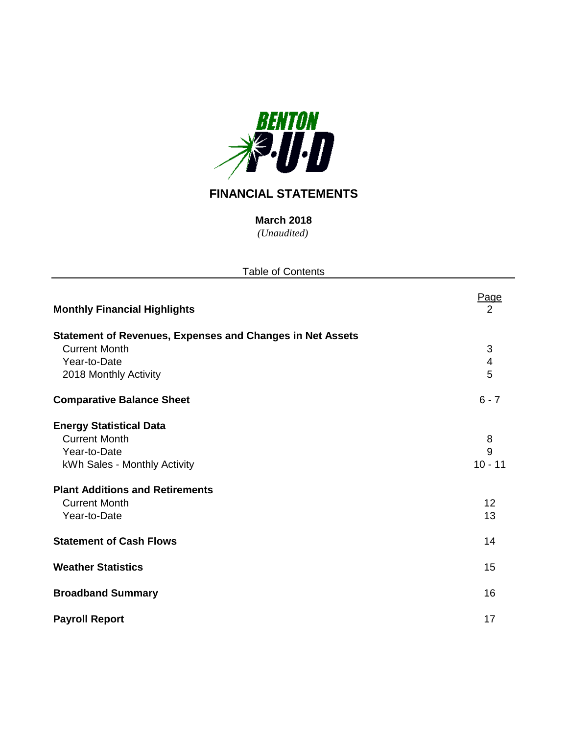

# **FINANCIAL STATEMENTS**

*(Unaudited)* **March 2018**

| <b>Table of Contents</b>                                                                               |                               |
|--------------------------------------------------------------------------------------------------------|-------------------------------|
| <b>Monthly Financial Highlights</b>                                                                    | <u>Page</u><br>$\overline{2}$ |
| <b>Statement of Revenues, Expenses and Changes in Net Assets</b><br><b>Current Month</b>               | 3                             |
| Year-to-Date<br>2018 Monthly Activity                                                                  | 4<br>5                        |
| <b>Comparative Balance Sheet</b>                                                                       | $6 - 7$                       |
| <b>Energy Statistical Data</b><br><b>Current Month</b><br>Year-to-Date<br>kWh Sales - Monthly Activity | 8<br>9<br>$10 - 11$           |
| <b>Plant Additions and Retirements</b><br><b>Current Month</b><br>Year-to-Date                         | 12<br>13                      |
| <b>Statement of Cash Flows</b>                                                                         | 14                            |
| <b>Weather Statistics</b>                                                                              | 15                            |
| <b>Broadband Summary</b>                                                                               | 16                            |
| <b>Payroll Report</b>                                                                                  | 17                            |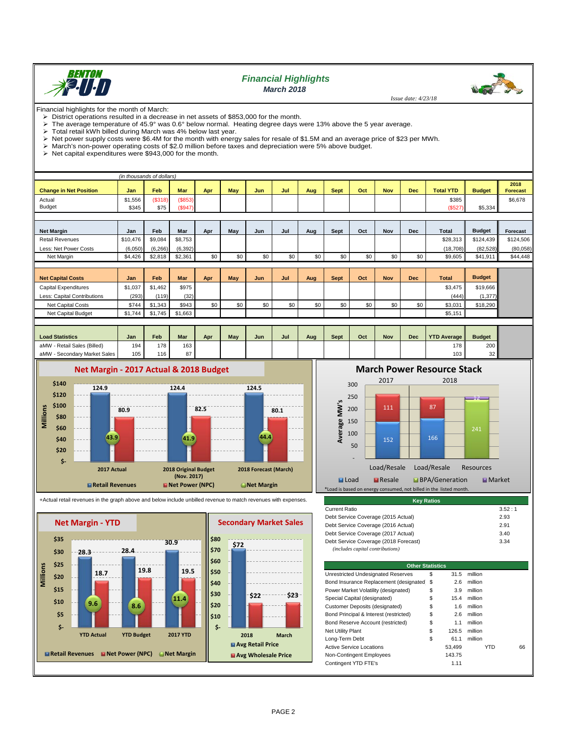

## *Financial Highlights March 2018*

 *Issue date: 4/23/18*

**Wood Star** 

Financial highlights for the month of March:<br>  $\geqslant$  District operations resulted in a decrea

District operations resulted in a decrease in net assets of \$853,000 for the month.<br>
In a verage temperature of 45.9° was 0.6° below normal. Heating degree days y The average temperature of 45.9° was 0.6° below normal. Heating degree days were 13% above the 5 year average.<br>> Total retail kWh billed during March was 4% below last year

 $\triangleright$  Total retail kWh billed during March was 4% below last year.<br> $\triangleright$  Net power supply costs were \$6.4M for the month with energ > Net power supply costs were \$6.4M for the month with energy sales for resale of \$1.5M and an average price of \$23 per MWh.<br>→ March's non-power operating costs of \$2.0 million before taxes and depreciation were 5% above

 $\triangleright$  March's non-power operating costs of \$2.0 million before taxes and depreciation were 5% above budget.<br> $\triangleright$  Net capital expenditures were \$943,000 for the month.

Net capital expenditures were \$943,000 for the month.

|                               |          | (in thousands of dollars) |            |     |     |            |     |     |             |     |            |            |                  |               |                         |
|-------------------------------|----------|---------------------------|------------|-----|-----|------------|-----|-----|-------------|-----|------------|------------|------------------|---------------|-------------------------|
| <b>Change in Net Position</b> | Jan      | Feb                       | <b>Mar</b> | Apr | May | <b>Jun</b> | Jul | Aug | Sept        | Oct | <b>Nov</b> | <b>Dec</b> | <b>Total YTD</b> | <b>Budget</b> | 2018<br><b>Forecast</b> |
| Actual                        | \$1,556  | (\$318)                   | (\$853)    |     |     |            |     |     |             |     |            |            | \$385            |               | \$6,678                 |
| Budget                        | \$345    | \$75                      | (\$947)    |     |     |            |     |     |             |     |            |            | (\$527)          | \$5,334       |                         |
|                               |          |                           |            |     |     |            |     |     |             |     |            |            |                  |               |                         |
| <b>Net Margin</b>             | Jan      | Feb                       | Mar        | Apr | May | Jun        | Jul | Aug | Sept        | Oct | <b>Nov</b> | <b>Dec</b> | Total            | <b>Budget</b> | Forecast                |
| <b>Retail Revenues</b>        | \$10,476 | \$9,084                   | \$8,753    |     |     |            |     |     |             |     |            |            | \$28,313         | \$124,439     | \$124,506               |
| Less: Net Power Costs         | (6,050)  | (6, 266)                  | (6, 392)   |     |     |            |     |     |             |     |            |            | (18, 708)        | (82, 528)     | (80,058)                |
| Net Margin                    | \$4,426  | \$2,818                   | \$2,361    | \$0 | \$0 | \$0        | \$0 | \$0 | \$0         | \$0 | \$0        | \$0        | \$9,605          | \$41,911      | \$44,448                |
|                               |          |                           |            |     |     |            |     |     |             |     |            |            |                  |               |                         |
| <b>Net Capital Costs</b>      | Jan      | <b>Feb</b>                | <b>Mar</b> | Apr | May | Jun        | Jul | Aug | <b>Sept</b> | Oct | <b>Nov</b> | <b>Dec</b> | <b>Total</b>     | <b>Budget</b> |                         |
| <b>Capital Expenditures</b>   | \$1,037  | \$1,462                   | \$975      |     |     |            |     |     |             |     |            |            | \$3,475          | \$19,666      |                         |
| Less: Capital Contributions   | (293)    | (119)                     | (32)       |     |     |            |     |     |             |     |            |            | (444)            | (1, 377)      |                         |
| <b>Net Capital Costs</b>      | \$744    | \$1,343                   | \$943      | \$0 | \$0 | \$0        | \$0 | \$0 | \$0         | \$0 | \$0        | \$0        | \$3,031          | \$18,290      |                         |
| Net Capital Budget            | \$1,744  | \$1,745                   | \$1,663    |     |     |            |     |     |             |     |            |            | \$5,151          |               |                         |
|                               |          |                           |            |     |     |            |     |     |             |     |            |            |                  |               |                         |

| <b>Load Statistics</b>           | Jan | Feb | <b>Mar</b> | Apr | May | Jun | Jul | Aug | <b>Sept</b> | Oct | Nov | <b>Dec</b> | <b>YTD Average   </b> | <b>Budget</b> |
|----------------------------------|-----|-----|------------|-----|-----|-----|-----|-----|-------------|-----|-----|------------|-----------------------|---------------|
| / - Retail Sales (Billed)<br>aMW | 194 | 178 | 163        |     |     |     |     |     |             |     |     |            | 178 I                 | 200           |
| aMW<br>- Secondary Market Sales  | 105 | 116 | 87         |     |     |     |     |     |             |     |     |            | 103 <sub>1</sub>      | 32            |



#### +Actual retail revenues in the graph above and below include unbilled revenue to match revenues with expenses.



**March Power Resource Stack**



| <b>Key Ratios</b>                     |        |
|---------------------------------------|--------|
| <b>Current Ratio</b>                  | 3.52:1 |
| Debt Service Coverage (2015 Actual)   | 2.93   |
| Debt Service Coverage (2016 Actual)   | 2.91   |
| Debt Service Coverage (2017 Actual)   | 3.40   |
| Debt Service Coverage (2018 Forecast) | 3.34   |
| (includes capital contributions)      |        |

| \$ | 31.5                                      | million                 |    |
|----|-------------------------------------------|-------------------------|----|
|    | 2.6                                       | million                 |    |
| \$ | 3.9                                       | million                 |    |
| \$ | 15.4                                      | million                 |    |
| \$ | 1.6                                       | million                 |    |
| \$ | 2.6                                       | million                 |    |
| \$ | 1.1                                       | million                 |    |
| S  | 126.5                                     | million                 |    |
| \$ | 61.1                                      | million                 |    |
|    | 53.499                                    | YTD                     | 66 |
|    | 143.75                                    |                         |    |
|    | 1.11                                      |                         |    |
|    | Bond Insurance Replacement (designated \$ | <b>Other Statistics</b> |    |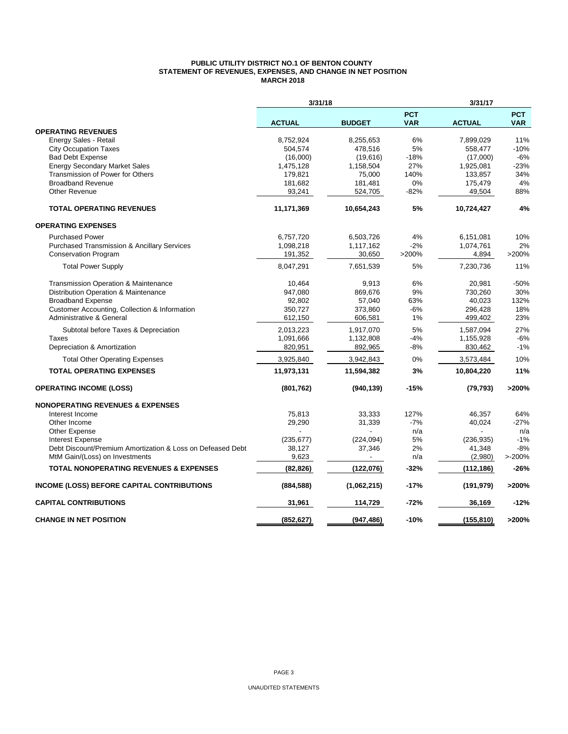#### **PUBLIC UTILITY DISTRICT NO.1 OF BENTON COUNTY STATEMENT OF REVENUES, EXPENSES, AND CHANGE IN NET POSITION MARCH 2018**

|                                                            | 3/31/18       |               | 3/31/17                  |               |                          |
|------------------------------------------------------------|---------------|---------------|--------------------------|---------------|--------------------------|
|                                                            | <b>ACTUAL</b> | <b>BUDGET</b> | <b>PCT</b><br><b>VAR</b> | <b>ACTUAL</b> | <b>PCT</b><br><b>VAR</b> |
| <b>OPERATING REVENUES</b>                                  |               |               |                          |               |                          |
| Energy Sales - Retail                                      | 8,752,924     | 8,255,653     | 6%                       | 7,899,029     | 11%                      |
| <b>City Occupation Taxes</b>                               | 504,574       | 478,516       | 5%                       | 558,477       | $-10%$                   |
| <b>Bad Debt Expense</b>                                    | (16,000)      | (19,616)      | $-18%$                   | (17,000)      | $-6%$                    |
| <b>Energy Secondary Market Sales</b>                       | 1,475,128     | 1,158,504     | 27%                      | 1,925,081     | $-23%$                   |
| Transmission of Power for Others                           | 179,821       | 75,000        | 140%                     | 133,857       | 34%                      |
| <b>Broadband Revenue</b>                                   | 181,682       | 181,481       | 0%                       | 175,479       | 4%                       |
| <b>Other Revenue</b>                                       | 93,241        | 524,705       | $-82%$                   | 49,504        | 88%                      |
| <b>TOTAL OPERATING REVENUES</b>                            | 11,171,369    | 10,654,243    | 5%                       | 10,724,427    | 4%                       |
| <b>OPERATING EXPENSES</b>                                  |               |               |                          |               |                          |
| <b>Purchased Power</b>                                     | 6,757,720     | 6,503,726     | 4%                       | 6,151,081     | 10%                      |
| <b>Purchased Transmission &amp; Ancillary Services</b>     | 1,098,218     | 1,117,162     | $-2%$                    | 1,074,761     | 2%                       |
| <b>Conservation Program</b>                                | 191,352       | 30,650        | >200%                    | 4,894         | >200%                    |
| <b>Total Power Supply</b>                                  | 8,047,291     | 7,651,539     | 5%                       | 7,230,736     | 11%                      |
| Transmission Operation & Maintenance                       | 10,464        | 9,913         | 6%                       | 20,981        | $-50%$                   |
| Distribution Operation & Maintenance                       | 947,080       | 869.676       | 9%                       | 730,260       | 30%                      |
| <b>Broadband Expense</b>                                   | 92,802        | 57,040        | 63%                      | 40,023        | 132%                     |
| Customer Accounting, Collection & Information              | 350,727       | 373,860       | $-6%$                    | 296,428       | 18%                      |
| Administrative & General                                   | 612,150       | 606,581       | 1%                       | 499,402       | 23%                      |
| Subtotal before Taxes & Depreciation                       | 2,013,223     | 1,917,070     | 5%                       | 1,587,094     | 27%                      |
| <b>Taxes</b>                                               | 1,091,666     | 1,132,808     | $-4%$                    | 1,155,928     | $-6%$                    |
| Depreciation & Amortization                                | 820,951       | 892,965       | -8%                      | 830,462       | $-1%$                    |
| <b>Total Other Operating Expenses</b>                      | 3,925,840     | 3,942,843     | 0%                       | 3,573,484     | 10%                      |
| <b>TOTAL OPERATING EXPENSES</b>                            | 11,973,131    | 11,594,382    | 3%                       | 10,804,220    | 11%                      |
| <b>OPERATING INCOME (LOSS)</b>                             | (801, 762)    | (940, 139)    | $-15%$                   | (79, 793)     | >200%                    |
| <b>NONOPERATING REVENUES &amp; EXPENSES</b>                |               |               |                          |               |                          |
| Interest Income                                            | 75,813        | 33,333        | 127%                     | 46,357        | 64%                      |
| Other Income                                               | 29,290        | 31,339        | $-7%$                    | 40,024        | $-27%$                   |
| Other Expense                                              |               |               | n/a                      |               | n/a                      |
| <b>Interest Expense</b>                                    | (235, 677)    | (224, 094)    | 5%                       | (236, 935)    | $-1%$                    |
| Debt Discount/Premium Amortization & Loss on Defeased Debt | 38,127        | 37,346        | 2%                       | 41,348        | $-8%$                    |
| MtM Gain/(Loss) on Investments                             | 9,623         |               | n/a                      | (2,980)       | >200%                    |
| <b>TOTAL NONOPERATING REVENUES &amp; EXPENSES</b>          | (82, 826)     | (122, 076)    | $-32%$                   | (112,186)     | $-26%$                   |
| <b>INCOME (LOSS) BEFORE CAPITAL CONTRIBUTIONS</b>          | (884, 588)    | (1,062,215)   | -17%                     | (191, 979)    | >200%                    |
| <b>CAPITAL CONTRIBUTIONS</b>                               | 31,961        | 114,729       | $-72%$                   | 36,169        | $-12%$                   |
| <b>CHANGE IN NET POSITION</b>                              | (852, 627)    | (947, 486)    | $-10%$                   | (155, 810)    | >200%                    |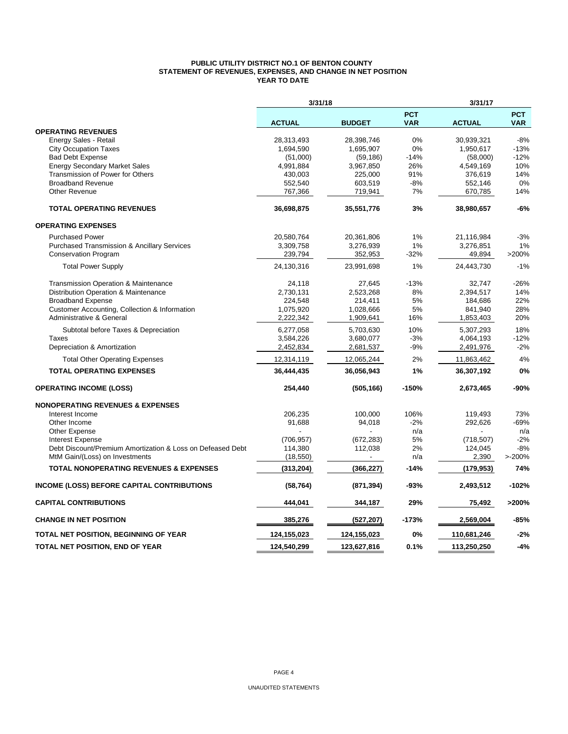#### **PUBLIC UTILITY DISTRICT NO.1 OF BENTON COUNTY STATEMENT OF REVENUES, EXPENSES, AND CHANGE IN NET POSITION YEAR TO DATE**

|                                                            | 3/31/18       |               |                          | 3/31/17       |                          |
|------------------------------------------------------------|---------------|---------------|--------------------------|---------------|--------------------------|
|                                                            | <b>ACTUAL</b> | <b>BUDGET</b> | <b>PCT</b><br><b>VAR</b> | <b>ACTUAL</b> | <b>PCT</b><br><b>VAR</b> |
| <b>OPERATING REVENUES</b>                                  |               |               |                          |               |                          |
| Energy Sales - Retail                                      | 28,313,493    | 28,398,746    | 0%                       | 30,939,321    | $-8%$                    |
| <b>City Occupation Taxes</b>                               | 1,694,590     | 1,695,907     | 0%                       | 1,950,617     | $-13%$                   |
| <b>Bad Debt Expense</b>                                    | (51,000)      | (59, 186)     | $-14%$                   | (58,000)      | $-12%$                   |
| <b>Energy Secondary Market Sales</b>                       | 4,991,884     | 3,967,850     | 26%                      | 4,549,169     | 10%                      |
| Transmission of Power for Others                           | 430,003       | 225,000       | 91%                      | 376,619       | 14%                      |
| <b>Broadband Revenue</b>                                   | 552,540       | 603,519       | $-8%$                    | 552,146       | 0%                       |
| <b>Other Revenue</b>                                       | 767,366       | 719,941       | 7%                       | 670,785       | 14%                      |
| <b>TOTAL OPERATING REVENUES</b>                            | 36,698,875    | 35,551,776    | 3%                       | 38,980,657    | $-6%$                    |
| <b>OPERATING EXPENSES</b>                                  |               |               |                          |               |                          |
| <b>Purchased Power</b>                                     | 20,580,764    | 20,361,806    | 1%                       | 21,116,984    | $-3%$                    |
| <b>Purchased Transmission &amp; Ancillary Services</b>     | 3,309,758     | 3,276,939     | 1%                       | 3,276,851     | 1%                       |
| <b>Conservation Program</b>                                | 239,794       | 352,953       | $-32%$                   | 49,894        | >200%                    |
| <b>Total Power Supply</b>                                  | 24,130,316    | 23,991,698    | 1%                       | 24,443,730    | $-1%$                    |
| <b>Transmission Operation &amp; Maintenance</b>            | 24,118        | 27,645        | $-13%$                   | 32,747        | $-26%$                   |
| Distribution Operation & Maintenance                       | 2,730,131     | 2,523,268     | 8%                       | 2,394,517     | 14%                      |
| <b>Broadband Expense</b>                                   | 224,548       | 214,411       | 5%                       | 184,686       | 22%                      |
| Customer Accounting, Collection & Information              | 1,075,920     | 1,028,666     | 5%                       | 841,940       | 28%                      |
| <b>Administrative &amp; General</b>                        | 2,222,342     | 1,909,641     | 16%                      | 1,853,403     | 20%                      |
| Subtotal before Taxes & Depreciation                       | 6,277,058     | 5,703,630     | 10%                      | 5,307,293     | 18%                      |
| Taxes                                                      | 3,584,226     | 3,680,077     | $-3%$                    | 4,064,193     | $-12%$                   |
| Depreciation & Amortization                                | 2,452,834     | 2,681,537     | $-9%$                    | 2,491,976     | $-2%$                    |
| <b>Total Other Operating Expenses</b>                      | 12,314,119    | 12,065,244    | 2%                       | 11,863,462    | 4%                       |
| <b>TOTAL OPERATING EXPENSES</b>                            | 36,444,435    | 36,056,943    | 1%                       | 36,307,192    | 0%                       |
| <b>OPERATING INCOME (LOSS)</b>                             | 254,440       | (505, 166)    | $-150%$                  | 2,673,465     | -90%                     |
| <b>NONOPERATING REVENUES &amp; EXPENSES</b>                |               |               |                          |               |                          |
| Interest Income                                            | 206,235       | 100,000       | 106%                     | 119,493       | 73%                      |
| Other Income                                               | 91.688        | 94,018        | $-2%$                    | 292,626       | -69%                     |
| <b>Other Expense</b>                                       |               |               | n/a                      |               | n/a                      |
| <b>Interest Expense</b>                                    | (706, 957)    | (672, 283)    | 5%                       | (718, 507)    | $-2%$                    |
| Debt Discount/Premium Amortization & Loss on Defeased Debt | 114,380       | 112,038       | 2%                       | 124,045       | $-8%$                    |
| MtM Gain/(Loss) on Investments                             | (18, 550)     |               | n/a                      | 2,390         | >200%                    |
| <b>TOTAL NONOPERATING REVENUES &amp; EXPENSES</b>          | (313, 204)    | (366, 227)    | -14%                     | (179,953)     | 74%                      |
| <b>INCOME (LOSS) BEFORE CAPITAL CONTRIBUTIONS</b>          | (58, 764)     | (871, 394)    | -93%                     | 2,493,512     | $-102%$                  |
| <b>CAPITAL CONTRIBUTIONS</b>                               | 444,041       | 344,187       | 29%                      | 75,492        | >200%                    |
| <b>CHANGE IN NET POSITION</b>                              | 385,276       | (527, 207)    | $-173%$                  | 2,569,004     | $-85%$                   |
| TOTAL NET POSITION, BEGINNING OF YEAR                      | 124,155,023   | 124,155,023   | 0%                       | 110,681,246   | $-2%$                    |
| TOTAL NET POSITION, END OF YEAR                            | 124,540,299   | 123,627,816   | 0.1%                     | 113,250,250   | $-4%$                    |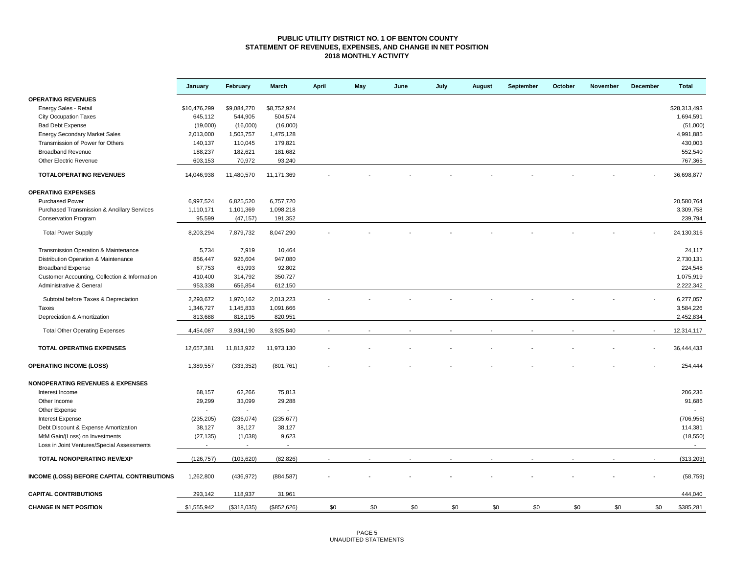#### **PUBLIC UTILITY DISTRICT NO. 1 OF BENTON COUNTY STATEMENT OF REVENUES, EXPENSES, AND CHANGE IN NET POSITION 2018 MONTHLY ACTIVITY**

|                                                   | January        | February                 | March          | <b>April</b> | May | June | July | <b>August</b> | September | October | November | December | <b>Total</b>             |
|---------------------------------------------------|----------------|--------------------------|----------------|--------------|-----|------|------|---------------|-----------|---------|----------|----------|--------------------------|
| <b>OPERATING REVENUES</b>                         |                |                          |                |              |     |      |      |               |           |         |          |          |                          |
| Energy Sales - Retail                             | \$10,476,299   | \$9,084,270              | \$8,752,924    |              |     |      |      |               |           |         |          |          | \$28.313.493             |
| <b>City Occupation Taxes</b>                      | 645,112        | 544,905                  | 504,574        |              |     |      |      |               |           |         |          |          | 1,694,591                |
| <b>Bad Debt Expense</b>                           | (19,000)       | (16,000)                 | (16,000)       |              |     |      |      |               |           |         |          |          | (51,000)                 |
| <b>Energy Secondary Market Sales</b>              | 2,013,000      | 1,503,757                | 1,475,128      |              |     |      |      |               |           |         |          |          | 4,991,885                |
| Transmission of Power for Others                  | 140,137        | 110,045                  | 179,821        |              |     |      |      |               |           |         |          |          | 430,003                  |
| <b>Broadband Revenue</b>                          | 188,237        | 182,621                  | 181,682        |              |     |      |      |               |           |         |          |          | 552,540                  |
| Other Electric Revenue                            | 603,153        | 70,972                   | 93,240         |              |     |      |      |               |           |         |          |          | 767,365                  |
| <b>TOTALOPERATING REVENUES</b>                    | 14,046,938     | 11,480,570               | 11,171,369     |              |     |      |      |               |           |         |          |          | 36,698,877               |
| <b>OPERATING EXPENSES</b>                         |                |                          |                |              |     |      |      |               |           |         |          |          |                          |
| <b>Purchased Power</b>                            |                |                          |                |              |     |      |      |               |           |         |          |          | 20,580,764               |
|                                                   | 6,997,524      | 6,825,520                | 6,757,720      |              |     |      |      |               |           |         |          |          |                          |
| Purchased Transmission & Ancillary Services       | 1,110,171      | 1,101,369                | 1,098,218      |              |     |      |      |               |           |         |          |          | 3,309,758                |
| <b>Conservation Program</b>                       | 95,599         | (47, 157)                | 191,352        |              |     |      |      |               |           |         |          |          | 239,794                  |
| <b>Total Power Supply</b>                         | 8,203,294      | 7,879,732                | 8,047,290      |              |     |      |      |               |           |         |          |          | 24,130,316               |
| Transmission Operation & Maintenance              | 5,734          | 7,919                    | 10,464         |              |     |      |      |               |           |         |          |          | 24,117                   |
| Distribution Operation & Maintenance              | 856,447        | 926,604                  | 947,080        |              |     |      |      |               |           |         |          |          | 2,730,131                |
| <b>Broadband Expense</b>                          | 67,753         | 63,993                   | 92,802         |              |     |      |      |               |           |         |          |          | 224,548                  |
| Customer Accounting, Collection & Information     | 410,400        | 314,792                  | 350,727        |              |     |      |      |               |           |         |          |          | 1,075,919                |
| Administrative & General                          | 953,338        | 656,854                  | 612,150        |              |     |      |      |               |           |         |          |          | 2,222,342                |
|                                                   |                |                          |                |              |     |      |      |               |           |         |          |          |                          |
| Subtotal before Taxes & Depreciation              | 2,293,672      | 1,970,162                | 2,013,223      |              |     |      |      |               |           |         |          |          | 6,277,057                |
| Taxes                                             | 1,346,727      | 1,145,833                | 1,091,666      |              |     |      |      |               |           |         |          |          | 3,584,226                |
| Depreciation & Amortization                       | 813,688        | 818,195                  | 820,951        |              |     |      |      |               |           |         |          |          | 2,452,834                |
| <b>Total Other Operating Expenses</b>             | 4,454,087      | 3,934,190                | 3,925,840      |              |     |      |      |               |           |         |          |          | 12,314,117               |
| TOTAL OPERATING EXPENSES                          | 12,657,381     | 11,813,922               | 11,973,130     |              |     |      |      |               |           |         |          |          | 36,444,433               |
| <b>OPERATING INCOME (LOSS)</b>                    | 1,389,557      | (333, 352)               | (801, 761)     |              |     |      |      |               |           |         |          |          | 254,444                  |
| <b>NONOPERATING REVENUES &amp; EXPENSES</b>       |                |                          |                |              |     |      |      |               |           |         |          |          |                          |
| Interest Income                                   | 68,157         | 62,266                   | 75,813         |              |     |      |      |               |           |         |          |          | 206,236                  |
| Other Income                                      | 29,299         | 33,099                   | 29,288         |              |     |      |      |               |           |         |          |          | 91,686                   |
| Other Expense                                     | $\blacksquare$ | $\overline{\phantom{a}}$ | $\blacksquare$ |              |     |      |      |               |           |         |          |          |                          |
| <b>Interest Expense</b>                           | (235, 205)     | (236, 074)               | (235, 677)     |              |     |      |      |               |           |         |          |          | (706, 956)               |
| Debt Discount & Expense Amortization              | 38,127         | 38,127                   | 38,127         |              |     |      |      |               |           |         |          |          | 114,381                  |
| MtM Gain/(Loss) on Investments                    | (27, 135)      | (1,038)                  | 9,623          |              |     |      |      |               |           |         |          |          | (18, 550)                |
| Loss in Joint Ventures/Special Assessments        |                | $\blacksquare$           |                |              |     |      |      |               |           |         |          |          | $\overline{\phantom{a}}$ |
| TOTAL NONOPERATING REV/EXP                        | (126, 757)     | (103, 620)               | (82, 826)      |              |     |      |      |               |           |         |          |          | (313, 203)               |
| <b>INCOME (LOSS) BEFORE CAPITAL CONTRIBUTIONS</b> | 1,262,800      | (436, 972)               | (884, 587)     |              |     |      |      |               |           |         |          |          | (58, 759)                |
| <b>CAPITAL CONTRIBUTIONS</b>                      | 293,142        | 118,937                  | 31,961         |              |     |      |      |               |           |         |          |          | 444,040                  |
| <b>CHANGE IN NET POSITION</b>                     | \$1,555,942    | (\$318,035)              | (\$852,626)    | \$0          | \$0 | \$0  | \$0  | \$0           | \$0       | \$0     | \$0      | \$0      | \$385,281                |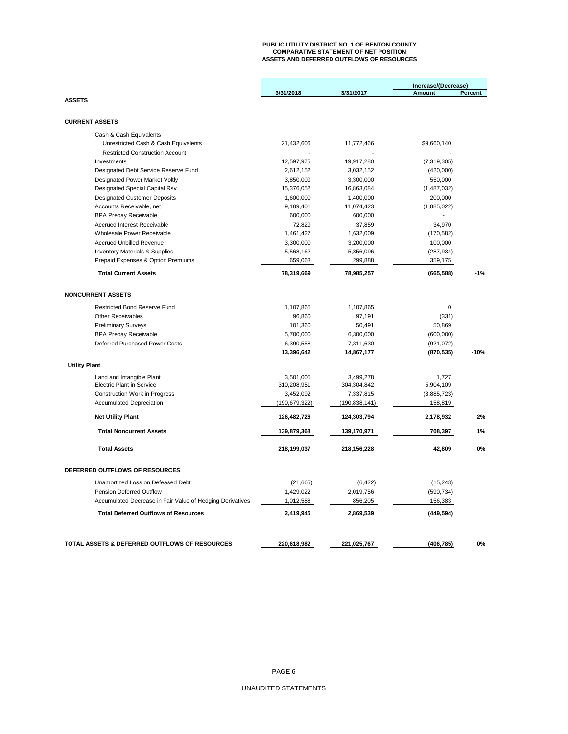## **PUBLIC UTILITY DISTRICT NO. 1 OF BENTON COUNTY COMPARATIVE STATEMENT OF NET POSITION ASSETS AND DEFERRED OUTFLOWS OF RESOURCES**

|                                                                |                        |                        | Increase/(Decrease)     |         |
|----------------------------------------------------------------|------------------------|------------------------|-------------------------|---------|
|                                                                | 3/31/2018              | 3/31/2017              | Amount                  | Percent |
| <b>ASSETS</b>                                                  |                        |                        |                         |         |
|                                                                |                        |                        |                         |         |
| <b>CURRENT ASSETS</b>                                          |                        |                        |                         |         |
| Cash & Cash Equivalents                                        |                        |                        |                         |         |
| Unrestricted Cash & Cash Equivalents                           | 21,432,606             | 11,772,466             | \$9,660,140             |         |
| <b>Restricted Construction Account</b>                         |                        |                        |                         |         |
| Investments                                                    | 12,597,975             | 19,917,280             | (7,319,305)             |         |
| Designated Debt Service Reserve Fund                           | 2,612,152              | 3,032,152              | (420,000)               |         |
| <b>Designated Power Market Voltly</b>                          | 3,850,000              | 3,300,000              | 550,000                 |         |
| Designated Special Capital Rsv                                 | 15,376,052             | 16,863,084             | (1,487,032)             |         |
| <b>Designated Customer Deposits</b>                            | 1,600,000              | 1,400,000              | 200,000                 |         |
| Accounts Receivable, net                                       | 9,189,401              | 11,074,423             | (1,885,022)             |         |
| <b>BPA Prepay Receivable</b>                                   | 600,000                | 600,000                |                         |         |
| <b>Accrued Interest Receivable</b>                             | 72,829                 | 37,859                 | 34,970                  |         |
| Wholesale Power Receivable                                     | 1,461,427              | 1,632,009              | (170, 582)              |         |
| <b>Accrued Unbilled Revenue</b>                                | 3,300,000              | 3,200,000              | 100,000                 |         |
| <b>Inventory Materials &amp; Supplies</b>                      | 5,568,162              | 5,856,096              | (287, 934)              |         |
| Prepaid Expenses & Option Premiums                             | 659,063                | 299,888                | 359,175                 |         |
| <b>Total Current Assets</b>                                    | 78,319,669             | 78,985,257             | (665, 588)              | $-1%$   |
| <b>NONCURRENT ASSETS</b>                                       |                        |                        |                         |         |
|                                                                |                        |                        |                         |         |
| <b>Restricted Bond Reserve Fund</b>                            | 1,107,865              | 1,107,865              | 0                       |         |
| <b>Other Receivables</b>                                       | 96,860                 | 97,191                 | (331)                   |         |
| <b>Preliminary Surveys</b>                                     | 101,360                | 50,491                 | 50,869                  |         |
| <b>BPA Prepay Receivable</b><br>Deferred Purchased Power Costs | 5,700,000<br>6,390,558 | 6,300,000<br>7,311,630 | (600,000)<br>(921, 072) |         |
|                                                                | 13,396,642             | 14,867,177             | (870, 535)              | $-10%$  |
| <b>Utility Plant</b>                                           |                        |                        |                         |         |
| Land and Intangible Plant                                      | 3,501,005              | 3,499,278              | 1,727                   |         |
| <b>Electric Plant in Service</b>                               | 310,208,951            | 304,304,842            | 5,904,109               |         |
| <b>Construction Work in Progress</b>                           | 3,452,092              | 7,337,815              | (3,885,723)             |         |
| <b>Accumulated Depreciation</b>                                | (190, 679, 322)        | (190, 838, 141)        | 158,819                 |         |
| <b>Net Utility Plant</b>                                       | 126,482,726            | 124,303,794            | 2,178,932               | 2%      |
| <b>Total Noncurrent Assets</b>                                 | 139,879,368            | 139,170,971            | 708,397                 | 1%      |
| <b>Total Assets</b>                                            | 218,199,037            | 218, 156, 228          | 42,809                  | 0%      |
|                                                                |                        |                        |                         |         |
| DEFERRED OUTFLOWS OF RESOURCES                                 |                        |                        |                         |         |
| Unamortized Loss on Defeased Debt                              | (21, 665)              | (6, 422)               | (15, 243)               |         |
| Pension Deferred Outflow                                       | 1,429,022              | 2,019,756              | (590, 734)              |         |
| Accumulated Decrease in Fair Value of Hedging Derivatives      | 1,012,588              | 856,205                | 156,383                 |         |
| <b>Total Deferred Outflows of Resources</b>                    | 2,419,945              | 2,869,539              | (449, 594)              |         |
|                                                                |                        |                        |                         |         |
| TOTAL ASSETS & DEFERRED OUTFLOWS OF RESOURCES                  | 220,618,982            | 221,025,767            | (406, 785)              | 0%      |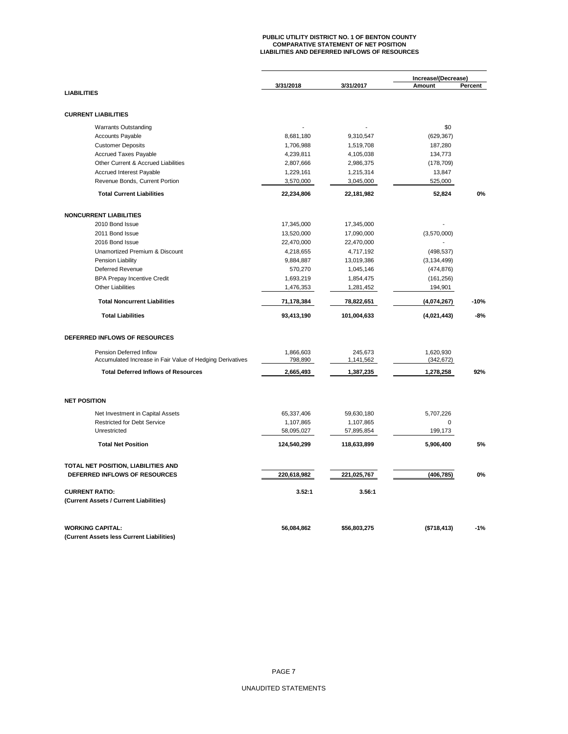# **PUBLIC UTILITY DISTRICT NO. 1 OF BENTON COUNTY COMPARATIVE STATEMENT OF NET POSITION LIABILITIES AND DEFERRED INFLOWS OF RESOURCES**

|                                                           |             |              | Increase/(Decrease) |         |  |  |
|-----------------------------------------------------------|-------------|--------------|---------------------|---------|--|--|
| <b>LIABILITIES</b>                                        | 3/31/2018   | 3/31/2017    | Amount              | Percent |  |  |
|                                                           |             |              |                     |         |  |  |
| <b>CURRENT LIABILITIES</b>                                |             |              |                     |         |  |  |
| <b>Warrants Outstanding</b>                               |             |              | \$0                 |         |  |  |
| <b>Accounts Payable</b>                                   | 8,681,180   | 9,310,547    | (629, 367)          |         |  |  |
| <b>Customer Deposits</b>                                  | 1,706,988   | 1,519,708    | 187,280             |         |  |  |
| <b>Accrued Taxes Payable</b>                              | 4,239,811   | 4,105,038    | 134,773             |         |  |  |
| Other Current & Accrued Liabilities                       | 2,807,666   | 2,986,375    | (178, 709)          |         |  |  |
| Accrued Interest Payable                                  | 1,229,161   | 1,215,314    | 13,847              |         |  |  |
| Revenue Bonds, Current Portion                            | 3,570,000   | 3,045,000    | 525,000             |         |  |  |
| <b>Total Current Liabilities</b>                          | 22,234,806  | 22,181,982   | 52,824              | 0%      |  |  |
| <b>NONCURRENT LIABILITIES</b>                             |             |              |                     |         |  |  |
| 2010 Bond Issue                                           | 17,345,000  | 17,345,000   |                     |         |  |  |
| 2011 Bond Issue                                           | 13,520,000  | 17,090,000   | (3,570,000)         |         |  |  |
| 2016 Bond Issue                                           | 22,470,000  | 22,470,000   |                     |         |  |  |
| Unamortized Premium & Discount                            | 4,218,655   | 4,717,192    | (498, 537)          |         |  |  |
| Pension Liability                                         | 9,884,887   | 13,019,386   | (3, 134, 499)       |         |  |  |
| <b>Deferred Revenue</b>                                   | 570,270     | 1,045,146    | (474, 876)          |         |  |  |
| <b>BPA Prepay Incentive Credit</b>                        | 1,693,219   | 1,854,475    | (161, 256)          |         |  |  |
| <b>Other Liabilities</b>                                  | 1,476,353   | 1,281,452    | 194,901             |         |  |  |
|                                                           |             |              |                     |         |  |  |
| <b>Total Noncurrent Liabilities</b>                       | 71,178,384  | 78,822,651   | (4,074,267)         | $-10%$  |  |  |
| <b>Total Liabilities</b>                                  | 93,413,190  | 101,004,633  | (4,021,443)         | $-8%$   |  |  |
| DEFERRED INFLOWS OF RESOURCES                             |             |              |                     |         |  |  |
| Pension Deferred Inflow                                   | 1,866,603   | 245,673      | 1,620,930           |         |  |  |
| Accumulated Increase in Fair Value of Hedging Derivatives | 798,890     | 1,141,562    | (342, 672)          |         |  |  |
| <b>Total Deferred Inflows of Resources</b>                | 2,665,493   | 1,387,235    | 1,278,258           | 92%     |  |  |
| <b>NET POSITION</b>                                       |             |              |                     |         |  |  |
|                                                           |             |              |                     |         |  |  |
| Net Investment in Capital Assets                          | 65,337,406  | 59,630,180   | 5,707,226           |         |  |  |
| <b>Restricted for Debt Service</b>                        | 1,107,865   | 1,107,865    | 0                   |         |  |  |
| Unrestricted                                              | 58,095,027  | 57,895,854   | 199,173             |         |  |  |
| <b>Total Net Position</b>                                 | 124,540,299 | 118,633,899  | 5,906,400           | 5%      |  |  |
| TOTAL NET POSITION, LIABILITIES AND                       |             |              |                     |         |  |  |
| DEFERRED INFLOWS OF RESOURCES                             | 220,618,982 | 221,025,767  | (406, 785)          | 0%      |  |  |
| <b>CURRENT RATIO:</b>                                     | 3.52:1      | 3.56:1       |                     |         |  |  |
| (Current Assets / Current Liabilities)                    |             |              |                     |         |  |  |
| <b>WORKING CAPITAL:</b>                                   | 56,084,862  | \$56,803,275 | (\$718, 413)        | $-1%$   |  |  |
| (Current Assets less Current Liabilities)                 |             |              |                     |         |  |  |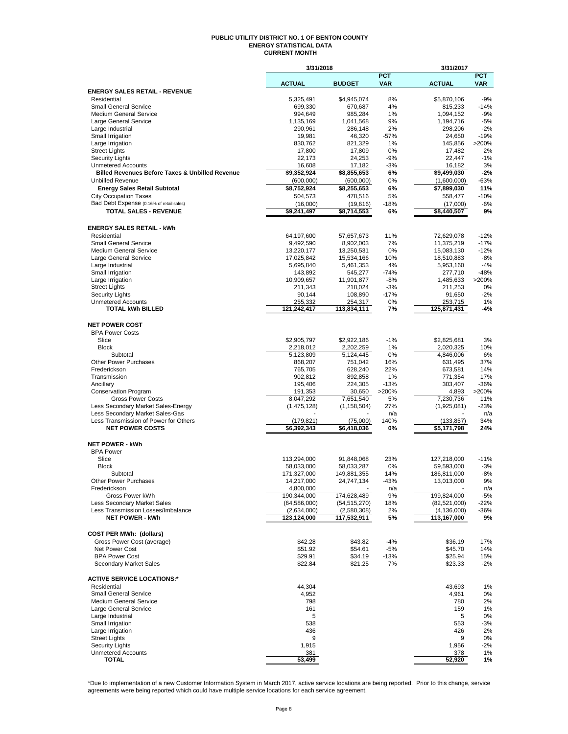#### **PUBLIC UTILITY DISTRICT NO. 1 OF BENTON COUNTY ENERGY STATISTICAL DATA CURRENT MONTH**

|                                                            | 3/31/2018                     |                               |                          | 3/31/2017                   |                          |
|------------------------------------------------------------|-------------------------------|-------------------------------|--------------------------|-----------------------------|--------------------------|
|                                                            | <b>ACTUAL</b>                 | <b>BUDGET</b>                 | <b>PCT</b><br><b>VAR</b> | <b>ACTUAL</b>               | <b>PCT</b><br><b>VAR</b> |
| <b>ENERGY SALES RETAIL - REVENUE</b>                       |                               |                               |                          |                             |                          |
| Residential                                                | 5,325,491                     | \$4,945,074                   | 8%                       | \$5,870,106                 | $-9%$                    |
| <b>Small General Service</b>                               | 699,330                       | 670,687                       | 4%                       | 815,233                     | $-14%$                   |
| <b>Medium General Service</b><br>Large General Service     | 994,649<br>1,135,169          | 985,284<br>1,041,568          | 1%<br>9%                 | 1,094,152<br>1,194,716      | $-9%$<br>$-5%$           |
| Large Industrial                                           | 290,961                       | 286,148                       | 2%                       | 298,206                     | $-2%$                    |
| Small Irrigation                                           | 19,981                        | 46,320                        | $-57%$                   | 24,650                      | $-19%$                   |
| Large Irrigation                                           | 830,762                       | 821,329                       | 1%                       | 145,856                     | >200%                    |
| <b>Street Lights</b>                                       | 17,800                        | 17,809                        | 0%                       | 17,482                      | 2%                       |
| <b>Security Lights</b><br><b>Unmetered Accounts</b>        | 22,173<br>16,608              | 24,253<br>17,182              | $-9%$<br>$-3%$           | 22,447<br>16,182            | $-1%$<br>3%              |
| <b>Billed Revenues Before Taxes &amp; Unbilled Revenue</b> | \$9,352,924                   | \$8,855,653                   | 6%                       | \$9,499,030                 | $-2%$                    |
| <b>Unbilled Revenue</b>                                    | (600,000)                     | (600,000)                     | 0%                       | (1,600,000)                 | $-63%$                   |
| <b>Energy Sales Retail Subtotal</b>                        | \$8,752,924                   | \$8,255,653                   | 6%                       | \$7,899,030                 | 11%                      |
| <b>City Occupation Taxes</b>                               | 504,573                       | 478,516                       | 5%                       | 558,477                     | $-10%$                   |
| Bad Debt Expense (0.16% of retail sales)                   | (16,000)                      | (19,616)                      | $-18%$                   | (17,000)                    | $-6%$                    |
| <b>TOTAL SALES - REVENUE</b>                               | \$9,241,497                   | \$8,714,553                   | 6%                       | \$8,440,507                 | 9%                       |
| <b>ENERGY SALES RETAIL - kWh</b>                           |                               |                               |                          |                             |                          |
| Residential                                                | 64,197,600                    | 57,657,673                    | 11%                      | 72,629,078                  | $-12%$                   |
| <b>Small General Service</b>                               | 9,492,590                     | 8,902,003                     | 7%                       | 11,375,219                  | $-17%$                   |
| <b>Medium General Service</b>                              | 13,220,177                    | 13,250,531                    | 0%                       | 15,083,130                  | $-12%$                   |
| Large General Service                                      | 17,025,842                    | 15,534,166                    | 10%                      | 18,510,883                  | $-8%$                    |
| Large Industrial                                           | 5,695,840                     | 5,461,353                     | 4%                       | 5,953,160                   | $-4%$                    |
| Small Irrigation                                           | 143,892                       | 545,277                       | $-74%$                   | 277,710                     | $-48%$                   |
| Large Irrigation<br><b>Street Lights</b>                   | 10,909,657                    | 11,901,877                    | $-8%$<br>$-3%$           | 1,485,633                   | >200%                    |
| <b>Security Lights</b>                                     | 211,343<br>90,144             | 218,024<br>108,890            | $-17%$                   | 211,253<br>91,650           | 0%<br>$-2%$              |
| <b>Unmetered Accounts</b>                                  | 255,332                       | 254,317                       | 0%                       | 253,715                     | 1%                       |
| <b>TOTAL kWh BILLED</b>                                    | 121,242,417                   | 113,834,111                   | 7%                       | 125,871,431                 | -4%                      |
|                                                            |                               |                               |                          |                             |                          |
| <b>NET POWER COST</b>                                      |                               |                               |                          |                             |                          |
| <b>BPA Power Costs</b><br>Slice                            | \$2,905,797                   | \$2,922,186                   | $-1%$                    | \$2,825,681                 | 3%                       |
| <b>Block</b>                                               | 2,218,012                     | 2,202,259                     | 1%                       | 2,020,325                   | 10%                      |
| Subtotal                                                   | 5,123,809                     | 5,124,445                     | 0%                       | 4,846,006                   | 6%                       |
| <b>Other Power Purchases</b>                               | 868,207                       | 751,042                       | 16%                      | 631,495                     | 37%                      |
| Frederickson                                               | 765,705                       | 628,240                       | 22%                      | 673,581                     | 14%                      |
| Transmission                                               | 902,812                       | 892,858                       | 1%                       | 771,354                     | 17%                      |
| Ancillary                                                  | 195,406                       | 224,305                       | $-13%$                   | 303,407                     | $-36%$                   |
| <b>Conservation Program</b><br><b>Gross Power Costs</b>    | 191,353<br>8,047,292          | 30,650<br>7,651,540           | >200%<br>5%              | 4,893<br>7,230,736          | >200%<br>11%             |
| Less Secondary Market Sales-Energy                         | (1,475,128)                   | (1, 158, 504)                 | 27%                      | (1,925,081)                 | $-23%$                   |
| Less Secondary Market Sales-Gas                            |                               |                               | n/a                      |                             | n/a                      |
| Less Transmission of Power for Others                      | (179, 821)                    | (75,000)                      | 140%                     | (133, 857)                  | 34%                      |
| <b>NET POWER COSTS</b>                                     | \$6,392,343                   | \$6,418,036                   | 0%                       | \$5,171,798                 | 24%                      |
|                                                            |                               |                               |                          |                             |                          |
| <b>NET POWER - kWh</b><br><b>BPA Power</b>                 |                               |                               |                          |                             |                          |
| Slice                                                      | 113,294,000                   | 91,848,068                    | 23%                      | 127,218,000                 | $-11%$                   |
| <b>Block</b>                                               | 58,033,000                    | 58,033,287                    | 0%                       | 59,593,000                  | $-3%$                    |
| Subtotal                                                   | 171,327,000                   | 149,881,355                   | 14%                      | 186,811,000                 | $-8%$                    |
| <b>Other Power Purchases</b>                               | 14,217,000                    | 24,747,134                    | -43%                     | 13,013,000                  | 9%                       |
| Frederickson                                               | 4,800,000                     |                               | n/a                      |                             | n/a                      |
| Gross Power kWh<br>Less Secondary Market Sales             | 190,344,000<br>(64, 586, 000) | 174,628,489<br>(54, 515, 270) | 9%<br>18%                | 199,824,000<br>(82,521,000) | -5%<br>-22%              |
| Less Transmission Losses/Imbalance                         | (2,634,000)                   | (2,580,308)                   | 2%                       | (4, 136, 000)               | $-36%$                   |
| <b>NET POWER - kWh</b>                                     | 123,124,000                   | 117,532,911                   | 5%                       | 113,167,000                 | 9%                       |
|                                                            |                               |                               |                          |                             |                          |
| <b>COST PER MWh: (dollars)</b>                             |                               |                               |                          |                             |                          |
| Gross Power Cost (average)                                 | \$42.28                       | \$43.82                       | $-4%$                    | \$36.19                     | 17%                      |
| Net Power Cost                                             | \$51.92                       | \$54.61                       | $-5%$                    | \$45.70                     | 14%                      |
| <b>BPA Power Cost</b><br>Secondary Market Sales            | \$29.91<br>\$22.84            | \$34.19<br>\$21.25            | $-13%$<br>7%             | \$25.94<br>\$23.33          | 15%<br>$-2\%$            |
|                                                            |                               |                               |                          |                             |                          |
| <b>ACTIVE SERVICE LOCATIONS:*</b>                          |                               |                               |                          |                             |                          |
| Residential                                                | 44,304                        |                               |                          | 43.693                      | 1%                       |
| <b>Small General Service</b>                               | 4,952                         |                               |                          | 4,961                       | 0%                       |
| Medium General Service                                     | 798                           |                               |                          | 780                         | 2%                       |
| Large General Service                                      | 161<br>5                      |                               |                          | 159                         | 1%                       |
| Large Industrial<br>Small Irrigation                       | 538                           |                               |                          | 5<br>553                    | 0%<br>-3%                |
| Large Irrigation                                           | 436                           |                               |                          | 426                         | 2%                       |
| <b>Street Lights</b>                                       | 9                             |                               |                          | 9                           | 0%                       |
| <b>Security Lights</b>                                     | 1,915                         |                               |                          | 1,956                       | $-2%$                    |
| <b>Unmetered Accounts</b>                                  | 381                           |                               |                          | 378                         | 1%                       |
| <b>TOTAL</b>                                               | 53,499                        |                               |                          | 52,920                      | 1%                       |

\*Due to implementation of a new Customer Information System in March 2017, active service locations are being reported. Prior to this change, service<br>agreements were being reported which could have multiple service locatio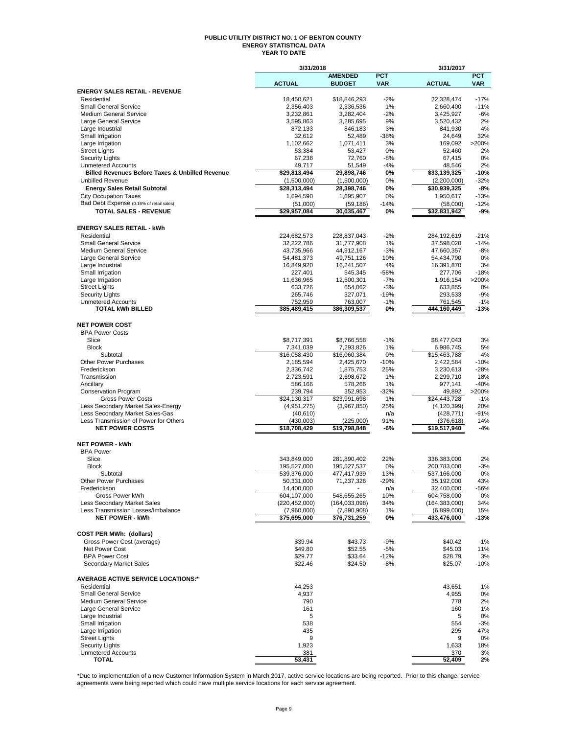#### **PUBLIC UTILITY DISTRICT NO. 1 OF BENTON COUNTY ENERGY STATISTICAL DATA YEAR TO DATE**

|                                                            | 3/31/2018                  |                            |                | 3/31/2017                  |                  |
|------------------------------------------------------------|----------------------------|----------------------------|----------------|----------------------------|------------------|
|                                                            |                            | <b>AMENDED</b>             | <b>PCT</b>     |                            | <b>PCT</b>       |
| <b>ENERGY SALES RETAIL - REVENUE</b>                       | <b>ACTUAL</b>              | <b>BUDGET</b>              | <b>VAR</b>     | <b>ACTUAL</b>              | <b>VAR</b>       |
| Residential                                                | 18,450,621                 | \$18,846,293               | $-2%$          | 22,328,474                 | $-17%$           |
| <b>Small General Service</b>                               | 2,356,403                  | 2,336,536                  | 1%             | 2,660,400                  | $-11%$           |
| <b>Medium General Service</b>                              | 3,232,861                  | 3,282,404                  | $-2%$          | 3,425,927                  | $-6%$            |
| Large General Service                                      | 3,595,863                  | 3,285,695                  | 9%             | 3,520,432                  | 2%               |
| Large Industrial                                           | 872,133                    | 846,183                    | 3%             | 841,930                    | 4%               |
| Small Irrigation<br>Large Irrigation                       | 32,612<br>1,102,662        | 52,489<br>1,071,411        | $-38%$<br>3%   | 24,649<br>169,092          | 32%<br>>200%     |
| <b>Street Lights</b>                                       | 53,384                     | 53,427                     | 0%             | 52,460                     | 2%               |
| <b>Security Lights</b>                                     | 67,238                     | 72,760                     | -8%            | 67,415                     | 0%               |
| <b>Unmetered Accounts</b>                                  | 49,717                     | 51,549                     | -4%            | 48,546                     | 2%               |
| <b>Billed Revenues Before Taxes &amp; Unbilled Revenue</b> | \$29,813,494               | 29,898,746                 | 0%             | \$33,139,325               | -10%             |
| <b>Unbilled Revenue</b>                                    | (1,500,000)                | (1,500,000)                | 0%             | (2,200,000)                | -32%             |
| <b>Energy Sales Retail Subtotal</b>                        | \$28,313,494               | 28,398,746                 | 0%             | \$30,939,325               | $-8%$            |
| <b>City Occupation Taxes</b>                               | 1,694,590                  | 1,695,907                  | 0%             | 1,950,617                  | $-13%$           |
| Bad Debt Expense (0.16% of retail sales)                   | (51,000)                   | (59, 186)                  | $-14%$         | (58,000)                   | $-12%$           |
| <b>TOTAL SALES - REVENUE</b>                               | \$29,957,084               | 30,035,467                 | 0%             | \$32,831,942               | $-9%$            |
|                                                            |                            |                            |                |                            |                  |
| <b>ENERGY SALES RETAIL - kWh</b>                           |                            |                            |                |                            |                  |
| Residential<br><b>Small General Service</b>                | 224,682,573<br>32,222,786  | 228,837,043<br>31,777,908  | $-2%$<br>1%    | 284,192,619<br>37,598,020  | $-21%$<br>$-14%$ |
| <b>Medium General Service</b>                              | 43,735,966                 | 44,912,167                 | $-3%$          | 47,660,357                 | $-8%$            |
| Large General Service                                      | 54,481,373                 | 49,751,126                 | 10%            | 54,434,790                 | 0%               |
| Large Industrial                                           | 16,849,920                 | 16,241,507                 | 4%             | 16,391,870                 | 3%               |
| Small Irrigation                                           | 227,401                    | 545,345                    | -58%           | 277,706                    | $-18%$           |
| Large Irrigation                                           | 11,636,965                 | 12,500,301                 | $-7%$          | 1,916,154                  | >200%            |
| <b>Street Lights</b>                                       | 633,726                    | 654,062                    | $-3%$          | 633,855                    | 0%               |
| <b>Security Lights</b>                                     | 265,746                    | 327,071                    | $-19%$         | 293,533                    | -9%              |
| <b>Unmetered Accounts</b><br><b>TOTAL kWh BILLED</b>       | 752,959<br>385,489,415     | 763,007<br>386,309,537     | $-1%$<br>0%    | 761,545<br>444.160.449     | $-1%$<br>-13%    |
|                                                            |                            |                            |                |                            |                  |
| <b>NET POWER COST</b>                                      |                            |                            |                |                            |                  |
| <b>BPA Power Costs</b>                                     |                            |                            |                |                            |                  |
| Slice                                                      | \$8,717,391                | \$8,766,558                | $-1%$          | \$8,477,043                | 3%               |
| <b>Block</b>                                               | 7,341,039                  | 7,293,826                  | $1\%$          | 6,986,745                  | 5%               |
| Subtotal                                                   | \$16,058,430               | \$16,060,384               | 0%             | \$15,463,788               | 4%               |
| <b>Other Power Purchases</b>                               | 2,185,594                  | 2,425,670                  | $-10%$         | 2,422,584                  | $-10%$           |
| Frederickson                                               | 2,336,742                  | 1,875,753                  | 25%            | 3,230,613                  | $-28%$           |
| Transmission                                               | 2,723,591                  | 2,698,672                  | 1%<br>1%       | 2,299,710                  | 18%<br>$-40%$    |
| Ancillary<br><b>Conservation Program</b>                   | 586,166<br>239,794         | 578,266<br>352,953         | $-32%$         | 977,141<br>49,892          | >200%            |
| <b>Gross Power Costs</b>                                   | \$24,130,317               | \$23,991,698               | 1%             | \$24,443,728               | $-1%$            |
| Less Secondary Market Sales-Energy                         | (4,951,275)                | (3,967,850)                | 25%            | (4, 120, 399)              | 20%              |
| Less Secondary Market Sales-Gas                            | (40, 610)                  |                            | n/a            | (428, 771)                 | -91%             |
| Less Transmission of Power for Others                      | (430,003)                  | (225,000)                  | 91%            | (376,618)                  | 14%              |
| <b>NET POWER COSTS</b>                                     | \$18,708,429               | \$19,798,848               | -6%            | \$19,517,940               | -4%              |
|                                                            |                            |                            |                |                            |                  |
| <b>NET POWER - kWh</b>                                     |                            |                            |                |                            |                  |
| <b>BPA Power</b>                                           |                            |                            |                |                            |                  |
| Slice<br><b>Block</b>                                      | 343,849,000                | 281,890,402                | 22%<br>0%      | 336,383,000                | 2%<br>$-3%$      |
| Subtotal                                                   | 195,527,000<br>539,376,000 | 195,527,537<br>477,417,939 | 13%            | 200,783,000<br>537,166,000 | 0%               |
| Other Power Purchases                                      | 50,331,000                 | 71,237,326                 | -29%           | 35,192,000                 | 43%              |
| Frederickson                                               | 14,400,000                 |                            | n/a            | 32,400,000                 | -56%             |
| Gross Power kWh                                            | 604,107,000                | 548,655,265                | 10%            | 604,758,000                | 0%               |
| Less Secondary Market Sales                                | (220, 452, 000)            | (164, 033, 098)            | 34%            | (164, 383, 000)            | 34%              |
| Less Transmission Losses/Imbalance                         | (7,960,000)                | (7,890,908)                | 1%             | (6,899,000)                | 15%              |
| <b>NET POWER - kWh</b>                                     | 375,695,000                | 376,731,259                | 0%             | 433,476,000                | -13%             |
|                                                            |                            |                            |                |                            |                  |
| <b>COST PER MWh: (dollars)</b>                             |                            |                            |                |                            |                  |
| Gross Power Cost (average)<br>Net Power Cost               | \$39.94<br>\$49.80         | \$43.73<br>\$52.55         | $-9%$<br>$-5%$ | \$40.42<br>\$45.03         | $-1%$<br>11%     |
| <b>BPA Power Cost</b>                                      | \$29.77                    | \$33.64                    | $-12%$         | \$28.79                    | 3%               |
| Secondary Market Sales                                     | \$22.46                    | \$24.50                    | -8%            | \$25.07                    | $-10%$           |
|                                                            |                            |                            |                |                            |                  |
| <b>AVERAGE ACTIVE SERVICE LOCATIONS:*</b>                  |                            |                            |                |                            |                  |
| Residential                                                | 44,253                     |                            |                | 43,651                     | 1%               |
| <b>Small General Service</b>                               | 4,937                      |                            |                | 4,955                      | 0%               |
| <b>Medium General Service</b>                              | 790                        |                            |                | 778                        | 2%               |
| Large General Service                                      | 161                        |                            |                | 160                        | 1%               |
| Large Industrial<br>Small Irrigation                       | 5<br>538                   |                            |                | 5<br>554                   | 0%<br>$-3%$      |
| Large Irrigation                                           | 435                        |                            |                | 295                        | 47%              |
| <b>Street Lights</b>                                       | 9                          |                            |                | 9                          | 0%               |
| <b>Security Lights</b>                                     | 1,923                      |                            |                | 1,633                      | 18%              |
| <b>Unmetered Accounts</b>                                  | 381                        |                            |                | 370                        | 3%               |
| TOTAL                                                      | 53,431                     |                            |                | 52,409                     | 2%               |

\*Due to implementation of a new Customer Information System in March 2017, active service locations are being reported. Prior to this change, service<br>agreements were being reported which could have multiple service locatio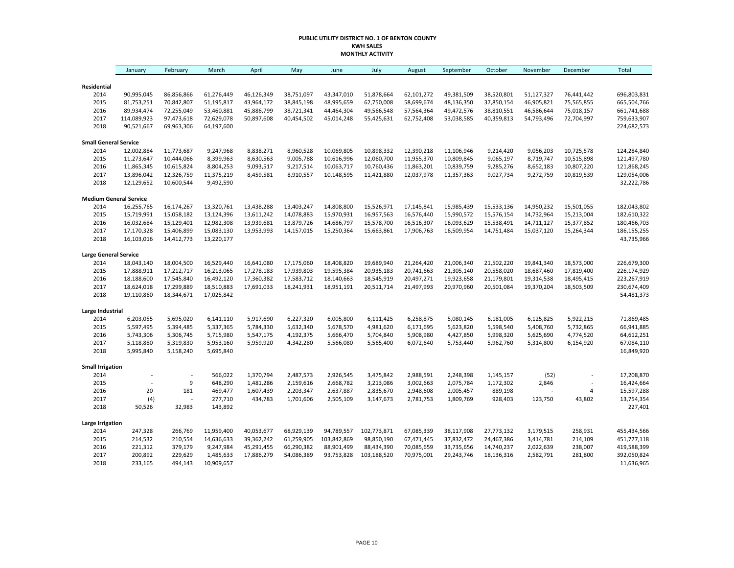#### **PUBLIC UTILITY DISTRICT NO. 1 OF BENTON COUNTY KWH SALES MONTHLY ACTIVITY**

|                               | January                   | February               | March                    | April                    | May                      | June        | July        | August     | September  | October                  | November                 | December   | Total                      |
|-------------------------------|---------------------------|------------------------|--------------------------|--------------------------|--------------------------|-------------|-------------|------------|------------|--------------------------|--------------------------|------------|----------------------------|
|                               |                           |                        |                          |                          |                          |             |             |            |            |                          |                          |            |                            |
| Residential                   |                           |                        |                          |                          |                          |             |             |            |            |                          |                          |            |                            |
| 2014                          | 90,995,045                | 86,856,866             | 61,276,449               | 46,126,349               | 38,751,097               | 43,347,010  | 51,878,664  | 62,101,272 | 49,381,509 | 38,520,801               | 51,127,327               | 76,441,442 | 696,803,831                |
| 2015                          | 81,753,251                | 70,842,807             | 51,195,817               | 43,964,172               | 38,845,198               | 48,995,659  | 62,750,008  | 58,699,674 | 48,136,350 | 37,850,154               | 46,905,821               | 75,565,855 | 665,504,766                |
| 2016<br>2017                  | 89,934,474<br>114,089,923 | 72,255,049             | 53,460,881               | 45,886,799<br>50,897,608 | 38,721,341<br>40,454,502 | 44,464,304  | 49,566,548  | 57,564,364 | 49,472,576 | 38,810,551<br>40,359,813 | 46,586,644<br>54,793,496 | 75,018,157 | 661,741,688<br>759,633,907 |
| 2018                          | 90,521,667                | 97,473,618             | 72,629,078<br>64,197,600 |                          |                          | 45,014,248  | 55,425,631  | 62,752,408 | 53,038,585 |                          |                          | 72,704,997 | 224,682,573                |
|                               |                           | 69,963,306             |                          |                          |                          |             |             |            |            |                          |                          |            |                            |
| <b>Small General Service</b>  |                           |                        |                          |                          |                          |             |             |            |            |                          |                          |            |                            |
| 2014                          | 12,002,884                | 11,773,687             | 9,247,968                | 8,838,271                | 8,960,528                | 10,069,805  | 10,898,332  | 12,390,218 | 11,106,946 | 9,214,420                | 9,056,203                | 10,725,578 | 124,284,840                |
| 2015                          | 11,273,647                | 10,444,066             | 8,399,963                | 8,630,563                | 9,005,788                | 10,616,996  | 12,060,700  | 11,955,370 | 10,809,845 | 9,065,197                | 8,719,747                | 10,515,898 | 121,497,780                |
| 2016                          | 11,865,345                | 10,615,824             | 8,804,253                | 9,093,517                | 9,217,514                | 10,063,717  | 10,760,436  | 11,863,201 | 10,839,759 | 9,285,276                | 8,652,183                | 10,807,220 | 121,868,245                |
| 2017                          | 13,896,042                | 12,326,759             | 11,375,219               | 8,459,581                | 8,910,557                | 10,148,595  | 11,421,880  | 12,037,978 | 11,357,363 | 9,027,734                | 9,272,759                | 10,819,539 | 129,054,006                |
| 2018                          | 12,129,652                | 10,600,544             | 9,492,590                |                          |                          |             |             |            |            |                          |                          |            | 32,222,786                 |
| <b>Medium General Service</b> |                           |                        |                          |                          |                          |             |             |            |            |                          |                          |            |                            |
| 2014                          | 16,255,765                | 16,174,267             | 13,320,761               | 13,438,288               | 13,403,247               | 14,808,800  | 15,526,971  | 17,145,841 | 15,985,439 | 15,533,136               | 14,950,232               | 15,501,055 | 182,043,802                |
| 2015                          | 15,719,991                | 15,058,182             | 13,124,396               | 13,611,242               | 14,078,883               | 15,970,931  | 16,957,563  | 16,576,440 | 15,990,572 | 15,576,154               | 14,732,964               | 15,213,004 | 182,610,322                |
| 2016                          | 16,032,684                | 15,129,401             | 12,982,308               | 13,939,681               | 13,879,726               | 14,686,797  | 15,578,700  | 16,516,307 | 16,093,629 | 15,538,491               | 14,711,127               | 15,377,852 | 180,466,703                |
| 2017                          | 17,170,328                | 15,406,899             | 15,083,130               | 13,953,993               | 14,157,015               | 15,250,364  | 15,663,861  | 17,906,763 | 16,509,954 | 14,751,484               | 15,037,120               | 15,264,344 | 186, 155, 255              |
| 2018                          | 16,103,016                | 14,412,773             | 13,220,177               |                          |                          |             |             |            |            |                          |                          |            | 43,735,966                 |
| <b>Large General Service</b>  |                           |                        |                          |                          |                          |             |             |            |            |                          |                          |            |                            |
| 2014                          | 18,043,140                | 18,004,500             | 16,529,440               | 16,641,080               | 17,175,060               | 18,408,820  | 19,689,940  | 21,264,420 | 21,006,340 | 21,502,220               | 19,841,340               | 18,573,000 | 226,679,300                |
| 2015                          | 17,888,911                | 17,212,717             | 16,213,065               | 17,278,183               | 17,939,803               | 19,595,384  | 20,935,183  | 20,741,663 | 21,305,140 | 20,558,020               | 18,687,460               | 17,819,400 | 226,174,929                |
| 2016                          | 18,188,600                | 17,545,840             | 16,492,120               | 17,360,382               | 17,583,712               | 18,140,663  | 18,545,919  | 20,497,271 | 19,923,658 | 21,179,801               | 19,314,538               | 18,495,415 | 223,267,919                |
| 2017                          | 18,624,018                | 17,299,889             | 18,510,883               | 17,691,033               | 18,241,931               | 18,951,191  | 20,511,714  | 21,497,993 | 20,970,960 | 20,501,084               | 19,370,204               | 18,503,509 | 230,674,409                |
| 2018                          | 19,110,860                | 18,344,671             | 17,025,842               |                          |                          |             |             |            |            |                          |                          |            | 54,481,373                 |
|                               |                           |                        |                          |                          |                          |             |             |            |            |                          |                          |            |                            |
| Large Industrial              |                           |                        |                          |                          |                          |             |             |            |            |                          |                          |            |                            |
| 2014                          | 6,203,055                 | 5,695,020              | 6,141,110                | 5,917,690                | 6,227,320                | 6,005,800   | 6,111,425   | 6,258,875  | 5,080,145  | 6,181,005                | 6,125,825                | 5,922,215  | 71,869,485                 |
| 2015                          | 5,597,495                 | 5,394,485              | 5,337,365                | 5,784,330                | 5,632,340                | 5,678,570   | 4,981,620   | 6,171,695  | 5,623,820  | 5,598,540                | 5,408,760                | 5,732,865  | 66,941,885                 |
| 2016                          | 5,743,306                 | 5,306,745              | 5,715,980                | 5,547,175                | 4,192,375                | 5,666,470   | 5,704,840   | 5,908,980  | 4,427,850  | 5,998,320                | 5,625,690                | 4,774,520  | 64,612,251                 |
| 2017<br>2018                  | 5,118,880<br>5,995,840    | 5,319,830<br>5,158,240 | 5,953,160<br>5,695,840   | 5,959,920                | 4,342,280                | 5,566,080   | 5,565,400   | 6,072,640  | 5,753,440  | 5,962,760                | 5,314,800                | 6,154,920  | 67,084,110<br>16,849,920   |
|                               |                           |                        |                          |                          |                          |             |             |            |            |                          |                          |            |                            |
| <b>Small Irrigation</b>       |                           |                        |                          |                          |                          |             |             |            |            |                          |                          |            |                            |
| 2014                          |                           |                        | 566,022                  | 1,370,794                | 2,487,573                | 2,926,545   | 3,475,842   | 2,988,591  | 2,248,398  | 1,145,157                | (52)                     |            | 17,208,870                 |
| 2015                          |                           | 9                      | 648,290                  | 1,481,286                | 2,159,616                | 2,668,782   | 3,213,086   | 3,002,663  | 2,075,784  | 1,172,302                | 2,846                    |            | 16,424,664                 |
| 2016                          | 20                        | 181                    | 469,477                  | 1,607,439                | 2,203,347                | 2,637,887   | 2,835,670   | 2,948,608  | 2,005,457  | 889,198                  |                          | 4          | 15,597,288                 |
| 2017                          | (4)                       |                        | 277,710                  | 434,783                  | 1,701,606                | 2,505,109   | 3,147,673   | 2,781,753  | 1,809,769  | 928,403                  | 123,750                  | 43,802     | 13,754,354                 |
| 2018                          | 50,526                    | 32,983                 | 143,892                  |                          |                          |             |             |            |            |                          |                          |            | 227,401                    |
| Large Irrigation              |                           |                        |                          |                          |                          |             |             |            |            |                          |                          |            |                            |
| 2014                          | 247,328                   | 266,769                | 11,959,400               | 40,053,677               | 68,929,139               | 94,789,557  | 102,773,871 | 67,085,339 | 38,117,908 | 27,773,132               | 3,179,515                | 258,931    | 455,434,566                |
| 2015                          | 214,532                   | 210,554                | 14,636,633               | 39,362,242               | 61,259,905               | 103,842,869 | 98,850,190  | 67,471,445 | 37,832,472 | 24,467,386               | 3,414,781                | 214,109    | 451,777,118                |
| 2016                          | 221,312                   | 379,179                | 9,247,984                | 45,291,455               | 66,290,382               | 88,901,499  | 88,434,390  | 70,085,659 | 33,735,656 | 14,740,237               | 2,022,639                | 238,007    | 419,588,399                |
| 2017                          | 200,892                   | 229,629                | 1,485,633                | 17,886,279               | 54,086,389               | 93,753,828  | 103,188,520 | 70,975,001 | 29,243,746 | 18,136,316               | 2,582,791                | 281,800    | 392,050,824                |
| 2018                          | 233,165                   | 494,143                | 10,909,657               |                          |                          |             |             |            |            |                          |                          |            | 11,636,965                 |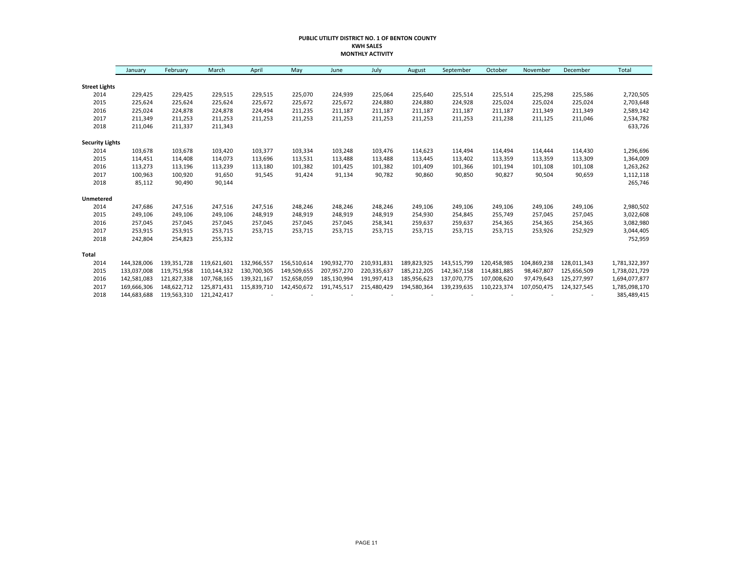#### **PUBLIC UTILITY DISTRICT NO. 1 OF BENTON COUNTY KWH SALES MONTHLY ACTIVITY**

|                        | January     | February    | March       | April       | May         | June        | July        | August      | September   | October     | November    | December    | Total         |
|------------------------|-------------|-------------|-------------|-------------|-------------|-------------|-------------|-------------|-------------|-------------|-------------|-------------|---------------|
|                        |             |             |             |             |             |             |             |             |             |             |             |             |               |
| <b>Street Lights</b>   |             |             |             |             |             |             |             |             |             |             |             |             |               |
| 2014                   | 229,425     | 229,425     | 229,515     | 229,515     | 225,070     | 224,939     | 225,064     | 225,640     | 225,514     | 225,514     | 225,298     | 225,586     | 2,720,505     |
| 2015                   | 225,624     | 225,624     | 225,624     | 225,672     | 225,672     | 225.672     | 224,880     | 224,880     | 224,928     | 225,024     | 225,024     | 225,024     | 2,703,648     |
| 2016                   | 225,024     | 224,878     | 224,878     | 224,494     | 211,235     | 211,187     | 211,187     | 211,187     | 211,187     | 211,187     | 211,349     | 211,349     | 2,589,142     |
| 2017                   | 211,349     | 211,253     | 211,253     | 211,253     | 211,253     | 211,253     | 211,253     | 211,253     | 211,253     | 211,238     | 211,125     | 211,046     | 2,534,782     |
| 2018                   | 211,046     | 211,337     | 211,343     |             |             |             |             |             |             |             |             |             | 633,726       |
| <b>Security Lights</b> |             |             |             |             |             |             |             |             |             |             |             |             |               |
| 2014                   | 103,678     | 103,678     | 103,420     | 103,377     | 103,334     | 103,248     | 103,476     | 114,623     | 114,494     | 114,494     | 114,444     | 114,430     | 1,296,696     |
| 2015                   | 114,451     | 114,408     | 114,073     | 113,696     | 113,531     | 113,488     | 113,488     | 113,445     | 113,402     | 113,359     | 113,359     | 113,309     | 1,364,009     |
| 2016                   | 113,273     | 113,196     | 113,239     | 113,180     | 101,382     | 101,425     | 101,382     | 101,409     | 101,366     | 101,194     | 101,108     | 101,108     | 1,263,262     |
| 2017                   | 100,963     | 100,920     | 91,650      | 91,545      | 91,424      | 91,134      | 90,782      | 90,860      | 90,850      | 90,827      | 90,504      | 90,659      | 1,112,118     |
| 2018                   | 85,112      | 90,490      | 90,144      |             |             |             |             |             |             |             |             |             | 265,746       |
| Unmetered              |             |             |             |             |             |             |             |             |             |             |             |             |               |
| 2014                   | 247,686     | 247,516     | 247,516     | 247,516     | 248,246     | 248,246     | 248,246     | 249,106     | 249,106     | 249,106     | 249,106     | 249,106     | 2,980,502     |
| 2015                   | 249,106     | 249,106     | 249,106     | 248,919     | 248,919     | 248,919     | 248,919     | 254,930     | 254,845     | 255,749     | 257,045     | 257,045     | 3,022,608     |
| 2016                   | 257,045     | 257,045     | 257,045     | 257,045     | 257,045     | 257,045     | 258,341     | 259,637     | 259,637     | 254,365     | 254,365     | 254,365     | 3,082,980     |
| 2017                   | 253,915     | 253,915     | 253,715     | 253,715     | 253,715     | 253,715     | 253,715     | 253,715     | 253,715     | 253,715     | 253,926     | 252,929     | 3,044,405     |
| 2018                   | 242,804     | 254,823     | 255,332     |             |             |             |             |             |             |             |             |             | 752,959       |
| Total                  |             |             |             |             |             |             |             |             |             |             |             |             |               |
| 2014                   | 144,328,006 | 139,351,728 | 119,621,601 | 132,966,557 | 156,510,614 | 190,932,770 | 210,931,831 | 189,823,925 | 143,515,799 | 120,458,985 | 104,869,238 | 128,011,343 | 1,781,322,397 |
| 2015                   | 133,037,008 | 119,751,958 | 110.144.332 | 130,700,305 | 149,509,655 | 207,957,270 | 220,335,637 | 185,212,205 | 142,367,158 | 114,881,885 | 98,467,807  | 125,656,509 | 1,738,021,729 |
| 2016                   | 142,581,083 | 121,827,338 | 107,768,165 | 139,321,167 | 152,658,059 | 185,130,994 | 191,997,413 | 185,956,623 | 137,070,775 | 107,008,620 | 97,479,643  | 125,277,997 | 1,694,077,877 |
| 2017                   | 169,666,306 | 148,622,712 | 125,871,431 | 115,839,710 | 142,450,672 | 191,745,517 | 215,480,429 | 194,580,364 | 139,239,635 | 110,223,374 | 107,050,475 | 124,327,545 | 1,785,098,170 |
| 2018                   | 144,683,688 | 119,563,310 | 121,242,417 |             |             |             |             |             |             |             |             |             | 385,489,415   |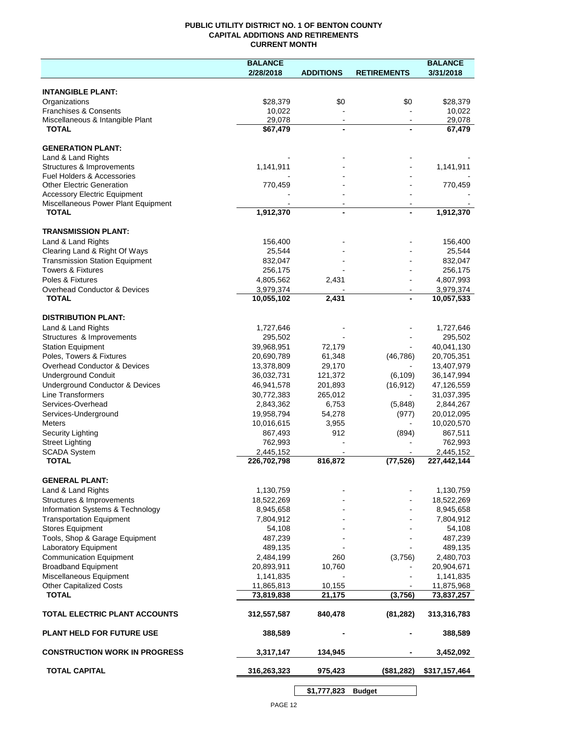### **PUBLIC UTILITY DISTRICT NO. 1 OF BENTON COUNTY CAPITAL ADDITIONS AND RETIREMENTS CURRENT MONTH**

|                                                                            | <b>BALANCE</b>        |                          |                    | <b>BALANCE</b>        |
|----------------------------------------------------------------------------|-----------------------|--------------------------|--------------------|-----------------------|
|                                                                            | 2/28/2018             | <b>ADDITIONS</b>         | <b>RETIREMENTS</b> | 3/31/2018             |
| <b>INTANGIBLE PLANT:</b>                                                   |                       |                          |                    |                       |
| Organizations                                                              | \$28,379              | \$0                      | \$0                | \$28,379              |
| <b>Franchises &amp; Consents</b>                                           | 10,022                |                          |                    | 10,022                |
| Miscellaneous & Intangible Plant                                           | 29,078                | $\blacksquare$           | $\sim$             | 29,078                |
| <b>TOTAL</b>                                                               | \$67,479              | $\blacksquare$           |                    | 67,479                |
| <b>GENERATION PLANT:</b>                                                   |                       |                          |                    |                       |
| Land & Land Rights                                                         |                       |                          |                    |                       |
| Structures & Improvements                                                  | 1,141,911             |                          |                    | 1,141,911             |
| <b>Fuel Holders &amp; Accessories</b>                                      |                       |                          |                    |                       |
| <b>Other Electric Generation</b>                                           | 770,459               |                          |                    | 770,459               |
| <b>Accessory Electric Equipment</b><br>Miscellaneous Power Plant Equipment |                       | $\overline{\phantom{a}}$ |                    |                       |
| <b>TOTAL</b>                                                               | 1,912,370             | $\blacksquare$           |                    | 1,912,370             |
|                                                                            |                       |                          |                    |                       |
| <b>TRANSMISSION PLANT:</b>                                                 |                       |                          |                    |                       |
| Land & Land Rights                                                         | 156,400               |                          |                    | 156,400               |
| Clearing Land & Right Of Ways<br><b>Transmission Station Equipment</b>     | 25,544<br>832,047     |                          |                    | 25,544<br>832,047     |
| <b>Towers &amp; Fixtures</b>                                               | 256,175               |                          |                    | 256,175               |
| Poles & Fixtures                                                           | 4,805,562             | 2,431                    |                    | 4,807,993             |
| Overhead Conductor & Devices                                               | 3,979,374             |                          |                    | 3,979,374             |
| <b>TOTAL</b>                                                               | 10,055,102            | 2,431                    | $\blacksquare$     | 10,057,533            |
| <b>DISTRIBUTION PLANT:</b>                                                 |                       |                          |                    |                       |
| Land & Land Rights                                                         | 1,727,646             |                          |                    | 1,727,646             |
| Structures & Improvements                                                  | 295,502               |                          |                    | 295,502               |
| <b>Station Equipment</b>                                                   | 39,968,951            | 72,179                   |                    | 40,041,130            |
| Poles, Towers & Fixtures                                                   | 20,690,789            | 61,348                   | (46, 786)          | 20,705,351            |
| Overhead Conductor & Devices                                               | 13,378,809            | 29,170                   |                    | 13,407,979            |
| <b>Underground Conduit</b>                                                 | 36,032,731            | 121,372                  | (6, 109)           | 36,147,994            |
| Underground Conductor & Devices                                            | 46,941,578            | 201,893                  | (16, 912)          | 47,126,559            |
| Line Transformers                                                          | 30,772,383            | 265,012                  |                    | 31,037,395            |
| Services-Overhead                                                          | 2,843,362             | 6,753                    | (5,848)            | 2,844,267             |
| Services-Underground                                                       | 19,958,794            | 54,278                   | (977)<br>$\sim$    | 20,012,095            |
| <b>Meters</b><br>Security Lighting                                         | 10,016,615<br>867,493 | 3,955<br>912             | (894)              | 10,020,570<br>867,511 |
| <b>Street Lighting</b>                                                     | 762,993               |                          |                    | 762,993               |
| <b>SCADA System</b>                                                        | 2,445,152             |                          |                    | 2,445,152             |
| <b>TOTAL</b>                                                               | 226,702,798           | 816,872                  | (77, 526)          | 227,442,144           |
|                                                                            |                       |                          |                    |                       |
| <b>GENERAL PLANT:</b><br>Land & Land Rights                                | 1,130,759             |                          |                    | 1,130,759             |
| Structures & Improvements                                                  | 18,522,269            |                          |                    | 18,522,269            |
| Information Systems & Technology                                           | 8,945,658             |                          |                    | 8,945,658             |
| <b>Transportation Equipment</b>                                            | 7,804,912             |                          |                    | 7,804,912             |
| <b>Stores Equipment</b>                                                    | 54,108                |                          |                    | 54,108                |
| Tools, Shop & Garage Equipment                                             | 487,239               |                          |                    | 487,239               |
| Laboratory Equipment                                                       | 489,135               |                          |                    | 489,135               |
| <b>Communication Equipment</b>                                             | 2,484,199             | 260                      | (3,756)            | 2,480,703             |
| <b>Broadband Equipment</b>                                                 | 20,893,911            | 10,760                   |                    | 20,904,671            |
| Miscellaneous Equipment                                                    | 1,141,835             |                          |                    | 1,141,835             |
| <b>Other Capitalized Costs</b><br><b>TOTAL</b>                             | 11,865,813            | 10,155                   | (3,756)            | 11,875,968            |
|                                                                            | 73,819,838            | 21,175                   |                    | 73,837,257            |
| <b>TOTAL ELECTRIC PLANT ACCOUNTS</b>                                       | 312,557,587           | 840,478                  | (81, 282)          | 313,316,783           |
| <b>PLANT HELD FOR FUTURE USE</b>                                           | 388,589               |                          |                    | 388,589               |
| <b>CONSTRUCTION WORK IN PROGRESS</b>                                       | 3,317,147             | 134,945                  |                    | 3,452,092             |
| <b>TOTAL CAPITAL</b>                                                       | 316,263,323           | 975,423                  | (\$81,282)         | \$317,157,464         |
|                                                                            |                       |                          |                    |                       |

**\$1,777,823 Budget**

 $\overline{\phantom{a}}$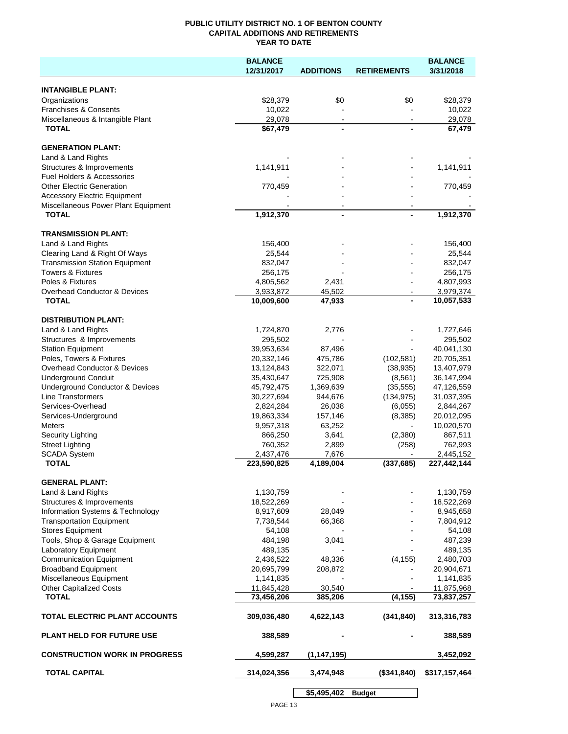## **PUBLIC UTILITY DISTRICT NO. 1 OF BENTON COUNTY CAPITAL ADDITIONS AND RETIREMENTS YEAR TO DATE**

|                                                                            | <b>BALANCE</b> |                  |                    | <b>BALANCE</b> |
|----------------------------------------------------------------------------|----------------|------------------|--------------------|----------------|
|                                                                            | 12/31/2017     | <b>ADDITIONS</b> | <b>RETIREMENTS</b> | 3/31/2018      |
|                                                                            |                |                  |                    |                |
| <b>INTANGIBLE PLANT:</b>                                                   |                |                  |                    |                |
| Organizations                                                              | \$28,379       | \$0              | \$0                | \$28,379       |
| <b>Franchises &amp; Consents</b>                                           | 10,022         |                  |                    | 10,022         |
| Miscellaneous & Intangible Plant                                           | 29,078         | $\blacksquare$   | $\blacksquare$     | 29,078         |
| <b>TOTAL</b>                                                               | \$67,479       |                  |                    | 67,479         |
|                                                                            |                |                  |                    |                |
| <b>GENERATION PLANT:</b>                                                   |                |                  |                    |                |
| Land & Land Rights                                                         |                |                  |                    |                |
| Structures & Improvements<br>Fuel Holders & Accessories                    | 1,141,911      |                  |                    | 1,141,911      |
|                                                                            |                |                  |                    |                |
| <b>Other Electric Generation</b>                                           | 770,459        |                  |                    | 770,459        |
| <b>Accessory Electric Equipment</b><br>Miscellaneous Power Plant Equipment |                |                  |                    |                |
| <b>TOTAL</b>                                                               | 1,912,370      |                  |                    | 1,912,370      |
|                                                                            |                |                  |                    |                |
| <b>TRANSMISSION PLANT:</b>                                                 |                |                  |                    |                |
| Land & Land Rights                                                         | 156,400        |                  |                    | 156,400        |
| Clearing Land & Right Of Ways                                              | 25,544         |                  |                    | 25,544         |
| <b>Transmission Station Equipment</b>                                      | 832,047        |                  |                    | 832,047        |
| <b>Towers &amp; Fixtures</b>                                               | 256,175        |                  |                    | 256,175        |
| Poles & Fixtures                                                           | 4,805,562      | 2,431            |                    | 4,807,993      |
| <b>Overhead Conductor &amp; Devices</b>                                    | 3,933,872      | 45,502           |                    | 3,979,374      |
| <b>TOTAL</b>                                                               | 10,009,600     | 47,933           |                    | 10,057,533     |
|                                                                            |                |                  |                    |                |
| <b>DISTRIBUTION PLANT:</b>                                                 |                |                  |                    |                |
| Land & Land Rights                                                         | 1,724,870      | 2,776            |                    | 1,727,646      |
| Structures & Improvements                                                  | 295,502        |                  |                    | 295,502        |
| <b>Station Equipment</b>                                                   | 39,953,634     | 87,496           |                    | 40,041,130     |
| Poles, Towers & Fixtures                                                   | 20,332,146     | 475,786          | (102, 581)         | 20,705,351     |
| Overhead Conductor & Devices                                               | 13,124,843     | 322,071          | (38, 935)          | 13,407,979     |
| <b>Underground Conduit</b>                                                 | 35,430,647     | 725,908          | (8, 561)           | 36,147,994     |
| Underground Conductor & Devices                                            | 45,792,475     | 1,369,639        | (35, 555)          | 47,126,559     |
| Line Transformers                                                          | 30,227,694     | 944,676          | (134, 975)         | 31,037,395     |
| Services-Overhead                                                          | 2,824,284      | 26,038           | (6,055)            | 2,844,267      |
| Services-Underground                                                       | 19,863,334     | 157,146          | (8, 385)           | 20,012,095     |
| <b>Meters</b>                                                              | 9,957,318      | 63,252           |                    | 10,020,570     |
| Security Lighting                                                          | 866,250        | 3,641            | (2,380)            | 867,511        |
| <b>Street Lighting</b>                                                     | 760,352        | 2,899            | (258)              | 762,993        |
| <b>SCADA System</b>                                                        | 2,437,476      | 7,676            |                    | 2,445,152      |
| <b>TOTAL</b>                                                               | 223,590,825    | 4,189,004        | (337, 685)         | 227,442,144    |
|                                                                            |                |                  |                    |                |
| <b>GENERAL PLANT:</b>                                                      |                |                  |                    |                |
| Land & Land Rights                                                         | 1,130,759      |                  |                    | 1,130,759      |
| Structures & Improvements                                                  | 18,522,269     |                  |                    | 18,522,269     |
| Information Systems & Technology                                           | 8,917,609      | 28,049           |                    | 8,945,658      |
| <b>Transportation Equipment</b>                                            | 7,738,544      | 66,368           |                    | 7,804,912      |
| <b>Stores Equipment</b>                                                    | 54,108         |                  |                    | 54,108         |
| Tools, Shop & Garage Equipment                                             | 484,198        | 3,041            |                    | 487,239        |
| <b>Laboratory Equipment</b>                                                | 489,135        |                  |                    | 489,135        |
| <b>Communication Equipment</b>                                             | 2,436,522      | 48,336           | (4, 155)           | 2,480,703      |
| <b>Broadband Equipment</b>                                                 | 20,695,799     | 208,872          |                    | 20,904,671     |
| Miscellaneous Equipment                                                    | 1,141,835      |                  |                    | 1,141,835      |
| <b>Other Capitalized Costs</b>                                             | 11,845,428     | 30,540           |                    | 11,875,968     |
| <b>TOTAL</b>                                                               | 73,456,206     | 385,206          | (4, 155)           | 73,837,257     |
| TOTAL ELECTRIC PLANT ACCOUNTS                                              | 309,036,480    | 4,622,143        | (341, 840)         | 313,316,783    |
| <b>PLANT HELD FOR FUTURE USE</b>                                           | 388,589        |                  |                    | 388,589        |
| <b>CONSTRUCTION WORK IN PROGRESS</b>                                       | 4,599,287      | (1, 147, 195)    |                    | 3,452,092      |
| <b>TOTAL CAPITAL</b>                                                       | 314,024,356    | 3,474,948        | (\$341,840)        | \$317,157,464  |
|                                                                            |                |                  |                    |                |
|                                                                            |                | \$5,495,402      | <b>Budget</b>      |                |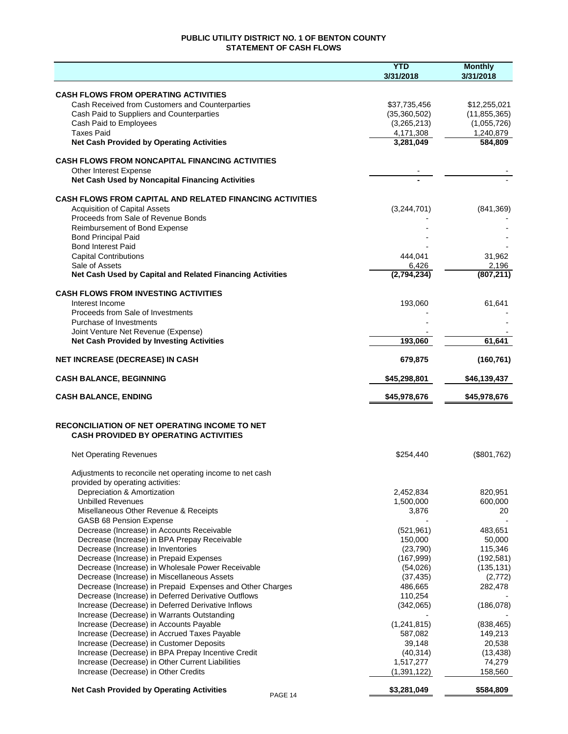## **PUBLIC UTILITY DISTRICT NO. 1 OF BENTON COUNTY STATEMENT OF CASH FLOWS**

|                                                                                                | <b>YTD</b><br>3/31/2018 | <b>Monthly</b><br>3/31/2018 |
|------------------------------------------------------------------------------------------------|-------------------------|-----------------------------|
|                                                                                                |                         |                             |
| <b>CASH FLOWS FROM OPERATING ACTIVITIES</b><br>Cash Received from Customers and Counterparties | \$37,735,456            | \$12,255,021                |
| Cash Paid to Suppliers and Counterparties                                                      | (35,360,502)            | (11, 855, 365)              |
| Cash Paid to Employees                                                                         | (3,265,213)             | (1,055,726)                 |
| <b>Taxes Paid</b>                                                                              | 4,171,308               | 1,240,879                   |
| <b>Net Cash Provided by Operating Activities</b>                                               | 3,281,049               | 584,809                     |
| <b>CASH FLOWS FROM NONCAPITAL FINANCING ACTIVITIES</b>                                         |                         |                             |
| Other Interest Expense                                                                         |                         |                             |
| Net Cash Used by Noncapital Financing Activities                                               |                         |                             |
| <b>CASH FLOWS FROM CAPITAL AND RELATED FINANCING ACTIVITIES</b>                                |                         |                             |
| <b>Acquisition of Capital Assets</b>                                                           | (3,244,701)             | (841, 369)                  |
| Proceeds from Sale of Revenue Bonds                                                            |                         |                             |
| Reimbursement of Bond Expense                                                                  |                         |                             |
| <b>Bond Principal Paid</b>                                                                     |                         |                             |
| <b>Bond Interest Paid</b>                                                                      |                         |                             |
| <b>Capital Contributions</b>                                                                   | 444,041                 | 31,962                      |
| Sale of Assets<br>Net Cash Used by Capital and Related Financing Activities                    | 6,426<br>(2,794,234)    | 2,196<br>(807, 211)         |
|                                                                                                |                         |                             |
| <b>CASH FLOWS FROM INVESTING ACTIVITIES</b>                                                    |                         |                             |
| Interest Income<br>Proceeds from Sale of Investments                                           | 193,060                 | 61,641                      |
| Purchase of Investments                                                                        |                         |                             |
| Joint Venture Net Revenue (Expense)                                                            |                         |                             |
| <b>Net Cash Provided by Investing Activities</b>                                               | 193,060                 | 61,641                      |
| <b>NET INCREASE (DECREASE) IN CASH</b>                                                         | 679,875                 | (160, 761)                  |
| <b>CASH BALANCE, BEGINNING</b>                                                                 | \$45,298,801            | \$46,139,437                |
|                                                                                                |                         |                             |
| <b>CASH BALANCE, ENDING</b>                                                                    | \$45,978,676            | \$45,978,676                |
| RECONCILIATION OF NET OPERATING INCOME TO NET                                                  |                         |                             |
| <b>CASH PROVIDED BY OPERATING ACTIVITIES</b>                                                   |                         |                             |
| <b>Net Operating Revenues</b>                                                                  | \$254,440               | (\$801,762)                 |
|                                                                                                |                         |                             |
| Adjustments to reconcile net operating income to net cash<br>provided by operating activities: |                         |                             |
| Depreciation & Amortization                                                                    | 2,452,834               | 820,951                     |
| <b>Unbilled Revenues</b>                                                                       | 1,500,000               | 600,000                     |
| Misellaneous Other Revenue & Receipts                                                          | 3,876                   | 20                          |
| GASB 68 Pension Expense                                                                        |                         |                             |
| Decrease (Increase) in Accounts Receivable                                                     | (521, 961)              | 483,651                     |
| Decrease (Increase) in BPA Prepay Receivable                                                   | 150,000                 | 50,000                      |
| Decrease (Increase) in Inventories                                                             | (23,790)                | 115,346                     |
| Decrease (Increase) in Prepaid Expenses                                                        | (167,999)               | (192, 581)                  |
| Decrease (Increase) in Wholesale Power Receivable                                              | (54,026)                | (135, 131)                  |
| Decrease (Increase) in Miscellaneous Assets                                                    | (37, 435)               | (2, 772)                    |
| Decrease (Increase) in Prepaid Expenses and Other Charges                                      | 486,665                 | 282,478                     |
| Decrease (Increase) in Deferred Derivative Outflows                                            | 110,254                 |                             |
| Increase (Decrease) in Deferred Derivative Inflows                                             | (342,065)               | (186,078)                   |
| Increase (Decrease) in Warrants Outstanding<br>Increase (Decrease) in Accounts Payable         | (1, 241, 815)           | (838, 465)                  |
| Increase (Decrease) in Accrued Taxes Payable                                                   | 587,082                 | 149,213                     |
| Increase (Decrease) in Customer Deposits                                                       | 39,148                  | 20,538                      |
| Increase (Decrease) in BPA Prepay Incentive Credit                                             | (40, 314)               | (13, 438)                   |
| Increase (Decrease) in Other Current Liabilities                                               | 1,517,277               | 74,279                      |
| Increase (Decrease) in Other Credits                                                           | (1, 391, 122)           | 158,560                     |
| <b>Net Cash Provided by Operating Activities</b>                                               | \$3,281,049             | \$584,809                   |
| PAGE 14                                                                                        |                         |                             |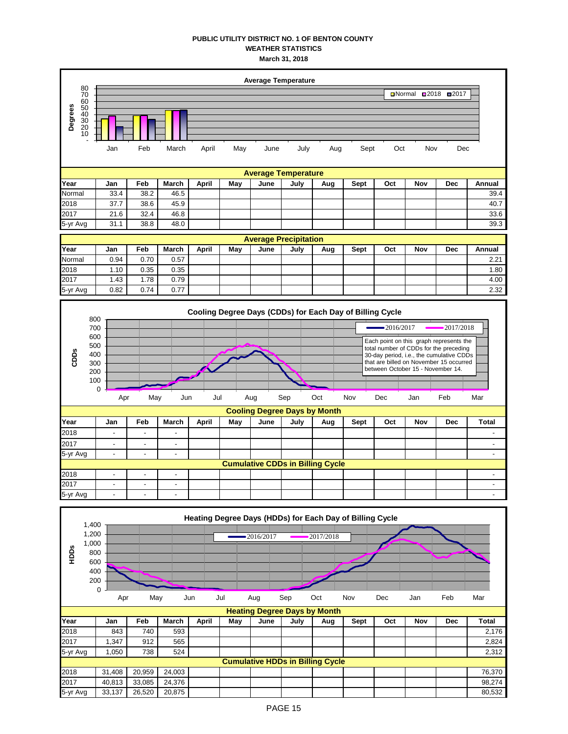## **PUBLIC UTILITY DISTRICT NO. 1 OF BENTON COUNTY WEATHER STATISTICS March 31, 2018**



| 2017     |                                         |  |  |  |  |  |  |  |  |  |  |  |  |
|----------|-----------------------------------------|--|--|--|--|--|--|--|--|--|--|--|--|
| 5-yr Avg |                                         |  |  |  |  |  |  |  |  |  |  |  |  |
|          | <b>Cumulative CDDs in Billing Cycle</b> |  |  |  |  |  |  |  |  |  |  |  |  |
| 2018     |                                         |  |  |  |  |  |  |  |  |  |  |  |  |
| 2017     |                                         |  |  |  |  |  |  |  |  |  |  |  |  |
| 5-yr Avg |                                         |  |  |  |  |  |  |  |  |  |  |  |  |

|          |                                                          |        |        |        |       |     |              |      | Heating Degree Days (HDDs) for Each Day of Billing Cycle |      |     |     |            |        |
|----------|----------------------------------------------------------|--------|--------|--------|-------|-----|--------------|------|----------------------------------------------------------|------|-----|-----|------------|--------|
| HDDS     | 1,400<br>1,200<br>1,000<br>800<br>600<br>400<br>200<br>0 |        |        |        |       |     | $-2016/2017$ |      | 2017/2018                                                |      |     |     | .          |        |
|          |                                                          | Apr    | May    |        | Jun   | Jul | Aug          | Sep  | Oct                                                      | Nov  | Dec | Jan | Feb        | Mar    |
|          |                                                          |        |        |        |       |     |              |      | <b>Heating Degree Days by Month</b>                      |      |     |     |            |        |
| Year     |                                                          | Jan    | Feb    | March  | April | May | June         | July | Aug                                                      | Sept | Oct | Nov | <b>Dec</b> | Total  |
| 2018     |                                                          | 843    | 740    | 593    |       |     |              |      |                                                          |      |     |     |            | 2,176  |
| 2017     |                                                          | 1,347  | 912    | 565    |       |     |              |      |                                                          |      |     |     |            | 2,824  |
| 5-yr Avg |                                                          | 1,050  | 738    | 524    |       |     |              |      |                                                          |      |     |     |            | 2,312  |
|          |                                                          |        |        |        |       |     |              |      | <b>Cumulative HDDs in Billing Cycle</b>                  |      |     |     |            |        |
| 2018     |                                                          | 31,408 | 20,959 | 24,003 |       |     |              |      |                                                          |      |     |     |            | 76,370 |
| 2017     |                                                          | 40,813 | 33,085 | 24,376 |       |     |              |      |                                                          |      |     |     |            | 98,274 |
| 5-yr Avg |                                                          | 33,137 | 26,520 | 20,875 |       |     |              |      |                                                          |      |     |     |            | 80,532 |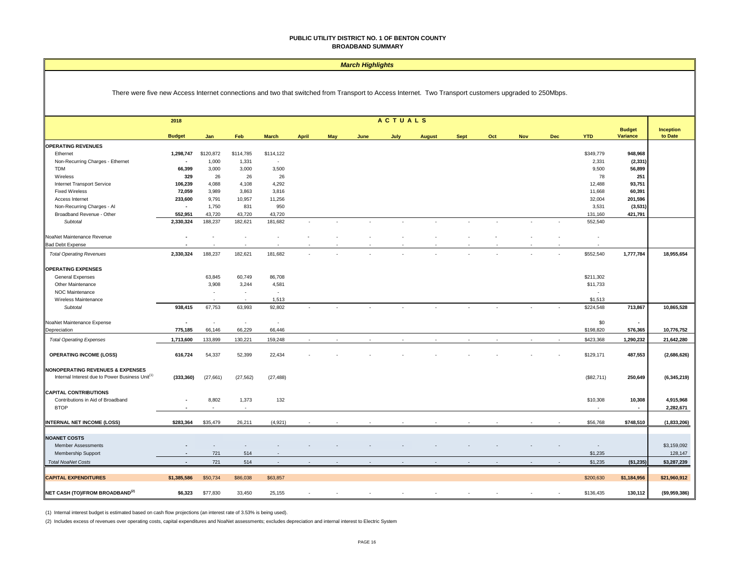#### *March Highlights*

There were five new Access Internet connections and two that switched from Transport to Access Internet. Two Transport customers upgraded to 250Mbps.

|                                                                                                            | 2018           |                            |                          |                          |              |     |      | <b>ACTUALS</b> |               |             |     |            |            |                          |                           |                      |
|------------------------------------------------------------------------------------------------------------|----------------|----------------------------|--------------------------|--------------------------|--------------|-----|------|----------------|---------------|-------------|-----|------------|------------|--------------------------|---------------------------|----------------------|
|                                                                                                            | <b>Budget</b>  | Jan                        | Feb                      | <b>March</b>             | <b>April</b> | May | June | July           | <b>August</b> | <b>Sept</b> | Oct | <b>Nov</b> | <b>Dec</b> | <b>YTD</b>               | <b>Budget</b><br>Variance | Inception<br>to Date |
| <b>OPERATING REVENUES</b>                                                                                  |                |                            |                          |                          |              |     |      |                |               |             |     |            |            |                          |                           |                      |
| Ethernet                                                                                                   | 1,298,747      | \$120,872                  | \$114,785                | \$114,122                |              |     |      |                |               |             |     |            |            | \$349,779                | 948,968                   |                      |
| Non-Recurring Charges - Ethernet                                                                           | $\blacksquare$ | 1,000                      | 1,331                    | $\overline{\phantom{a}}$ |              |     |      |                |               |             |     |            |            | 2,331                    | (2, 331)                  |                      |
| <b>TDM</b>                                                                                                 | 66,399         | 3,000                      | 3,000                    | 3,500                    |              |     |      |                |               |             |     |            |            | 9,500                    | 56,899                    |                      |
| Wireless                                                                                                   | 329            | 26                         | 26                       | 26                       |              |     |      |                |               |             |     |            |            | 78                       | 251                       |                      |
| Internet Transport Service                                                                                 | 106,239        | 4,088                      | 4,108                    | 4,292                    |              |     |      |                |               |             |     |            |            | 12,488                   | 93,751                    |                      |
| <b>Fixed Wireless</b>                                                                                      | 72,059         | 3,989                      | 3,863                    | 3,816                    |              |     |      |                |               |             |     |            |            | 11,668                   | 60,391                    |                      |
| Access Internet                                                                                            | 233,600        | 9,791                      | 10,957                   | 11,256                   |              |     |      |                |               |             |     |            |            | 32,004                   | 201,596                   |                      |
| Non-Recurring Charges - Al                                                                                 | $\blacksquare$ | 1,750                      | 831                      | 950                      |              |     |      |                |               |             |     |            |            | 3,531                    | (3, 531)                  |                      |
| Broadband Revenue - Other                                                                                  | 552,951        | 43,720                     | 43,720                   | 43,720                   |              |     |      |                |               |             |     |            |            | 131,160                  | 421,791                   |                      |
| Subtotal                                                                                                   | 2,330,324      | 188,237                    | 182,621                  | 181,682                  |              |     |      |                |               |             |     |            |            | 552,540                  |                           |                      |
| NoaNet Maintenance Revenue                                                                                 |                |                            |                          |                          |              |     |      |                |               |             |     |            |            |                          |                           |                      |
| <b>Bad Debt Expense</b>                                                                                    |                |                            |                          |                          |              |     |      |                |               |             |     |            |            |                          |                           |                      |
| <b>Total Operating Revenues</b>                                                                            | 2,330,324      | 188,237                    | 182,621                  | 181,682                  |              |     |      |                |               |             |     |            |            | \$552,540                | 1,777,784                 | 18,955,654           |
| <b>OPERATING EXPENSES</b>                                                                                  |                |                            |                          |                          |              |     |      |                |               |             |     |            |            |                          |                           |                      |
| General Expenses                                                                                           |                | 63,845                     | 60,749                   | 86,708                   |              |     |      |                |               |             |     |            |            | \$211,302                |                           |                      |
| Other Maintenance                                                                                          |                | 3,908                      | 3,244                    | 4,581                    |              |     |      |                |               |             |     |            |            | \$11,733                 |                           |                      |
| NOC Maintenance                                                                                            |                | $\overline{\phantom{a}}$   | $\overline{\phantom{a}}$ | $\sim$                   |              |     |      |                |               |             |     |            |            | $\overline{\phantom{a}}$ |                           |                      |
| Wireless Maintenance                                                                                       |                | <b><i><u>Parts</u></i></b> | $\sim$                   | 1,513                    |              |     |      |                |               |             |     |            |            | \$1,513                  |                           |                      |
| Subtotal                                                                                                   | 938,415        | 67,753                     | 63,993                   | 92,802                   |              |     |      |                |               |             |     |            |            | \$224,548                | 713,867                   | 10,865,528           |
| NoaNet Maintenance Expense                                                                                 | $\blacksquare$ | $\sim$                     | $\overline{\phantom{a}}$ | $\overline{\phantom{a}}$ |              |     |      |                |               |             |     |            |            | \$0                      | $\sim$                    |                      |
| Depreciation                                                                                               | 775,185        | 66,146                     | 66,229                   | 66,446                   |              |     |      |                |               |             |     |            |            | \$198,820                | 576,365                   | 10,776,752           |
| <b>Total Operating Expenses</b>                                                                            | 1,713,600      | 133,899                    | 130,221                  | 159,248                  |              |     |      |                |               |             |     |            |            | \$423,368                | 1,290,232                 | 21,642,280           |
| <b>OPERATING INCOME (LOSS)</b>                                                                             | 616,724        | 54,337                     | 52,399                   | 22,434                   |              |     |      |                |               |             |     |            |            | \$129,171                | 487,553                   | (2,686,626)          |
|                                                                                                            |                |                            |                          |                          |              |     |      |                |               |             |     |            |            |                          |                           |                      |
| <b>NONOPERATING REVENUES &amp; EXPENSES</b><br>Internal Interest due to Power Business Unit <sup>(1)</sup> | (333, 360)     | (27, 661)                  | (27, 562)                | (27, 488)                |              |     |      |                |               |             |     |            |            | (\$82,711)               | 250,649                   | (6,345,219)          |
|                                                                                                            |                |                            |                          |                          |              |     |      |                |               |             |     |            |            |                          |                           |                      |
| <b>CAPITAL CONTRIBUTIONS</b>                                                                               |                |                            |                          |                          |              |     |      |                |               |             |     |            |            |                          |                           |                      |
| Contributions in Aid of Broadband                                                                          | $\blacksquare$ | 8,802                      | 1,373                    | 132                      |              |     |      |                |               |             |     |            |            | \$10,308                 | 10,308                    | 4,915,968            |
| <b>BTOP</b>                                                                                                |                |                            | $\sim$                   |                          |              |     |      |                |               |             |     |            |            |                          | $\sim$                    | 2,282,671            |
| INTERNAL NET INCOME (LOSS)                                                                                 | \$283,364      | \$35,479                   | 26,211                   | (4,921)                  |              |     |      |                |               |             |     |            |            | \$56,768                 | \$748,510                 | (1,833,206)          |
|                                                                                                            |                |                            |                          |                          |              |     |      |                |               |             |     |            |            |                          |                           |                      |
| <b>NOANET COSTS</b>                                                                                        |                |                            |                          |                          |              |     |      |                |               |             |     |            |            |                          |                           |                      |
| <b>Member Assessments</b>                                                                                  |                |                            |                          |                          |              |     |      |                |               |             |     |            |            | $\overline{\phantom{a}}$ |                           | \$3,159,092          |
| <b>Membership Support</b>                                                                                  | $\sim$         | 721                        | 514                      |                          |              |     |      |                |               |             |     |            |            | \$1,235                  |                           | 128,147              |
| <b>Total NoaNet Costs</b>                                                                                  | $\sim$         | 721                        | 514                      | $\overline{\phantom{a}}$ |              |     |      |                |               |             |     |            |            | \$1,235                  | (\$1,235)                 | \$3,287,239          |
| <b>CAPITAL EXPENDITURES</b>                                                                                | \$1,385,586    | \$50,734                   | \$86,038                 | \$63,857                 |              |     |      |                |               |             |     |            |            | \$200,630                | \$1,184,956               | \$21,960,912         |
| NET CASH (TO)/FROM BROADBAND <sup>(2)</sup>                                                                | \$6,323        | \$77,830                   | 33,450                   | 25,155                   |              |     |      |                |               |             |     |            |            | \$136,435                | 130,112                   | ( \$9,959,386)       |

(1) Internal interest budget is estimated based on cash flow projections (an interest rate of 3.53% is being used).

(2) Includes excess of revenues over operating costs, capital expenditures and NoaNet assessments; excludes depreciation and internal interest to Electric System